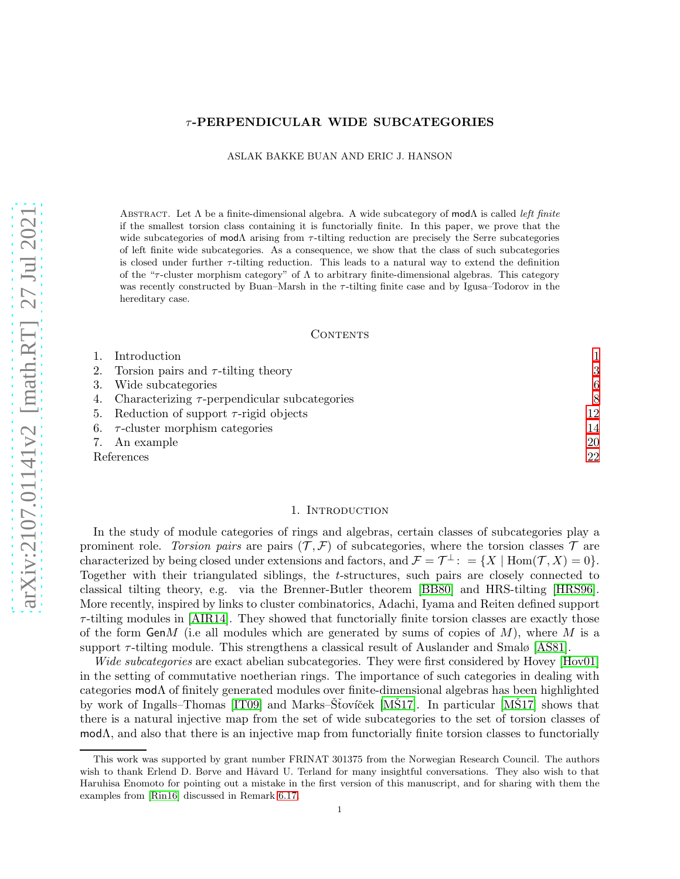## τ -PERPENDICULAR WIDE SUBCATEGORIES

ASLAK BAKKE BUAN AND ERIC J. HANSON

ABSTRACT. Let  $\Lambda$  be a finite-dimensional algebra. A wide subcategory of mod $\Lambda$  is called *left finite* if the smallest torsion class containing it is functorially finite. In this paper, we prove that the wide subcategories of  $\text{mod}\Lambda$  arising from  $\tau$ -tilting reduction are precisely the Serre subcategories of left finite wide subcategories. As a consequence, we show that the class of such subcategories is closed under further  $\tau$ -tilting reduction. This leads to a natural way to extend the definition of the " $\tau$ -cluster morphism category" of  $\Lambda$  to arbitrary finite-dimensional algebras. This category was recently constructed by Buan–Marsh in the  $\tau$ -tilting finite case and by Igusa–Todorov in the hereditary case.

#### CONTENTS

|            | Introduction                                          |    |
|------------|-------------------------------------------------------|----|
|            | 2. Torsion pairs and $\tau$ -tilting theory           | 3  |
|            | Wide subcategories                                    | 6  |
|            | 4. Characterizing $\tau$ -perpendicular subcategories | 8  |
|            | 5. Reduction of support $\tau$ -rigid objects         | 12 |
|            | 6. $\tau$ -cluster morphism categories                | 14 |
|            | 7. An example                                         | 20 |
| References |                                                       | 22 |

#### 1. INTRODUCTION

<span id="page-0-0"></span>In the study of module categories of rings and algebras, certain classes of subcategories play a prominent role. *Torsion pairs* are pairs  $(\mathcal{T}, \mathcal{F})$  of subcategories, where the torsion classes  $\mathcal{T}$  are characterized by being closed under extensions and factors, and  $\mathcal{F} = \mathcal{T}^{\perp}$ : = {X | Hom $(\mathcal{T}, X) = 0$ }. Together with their triangulated siblings, the t-structures, such pairs are closely connected to classical tilting theory, e.g. via the Brenner-Butler theorem [\[BB80\]](#page-21-1) and HRS-tilting [\[HRS96\]](#page-21-2). More recently, inspired by links to cluster combinatorics, Adachi, Iyama and Reiten defined support  $\tau$ -tilting modules in [\[AIR14\]](#page-21-3). They showed that functorially finite torsion classes are exactly those of the form  $GenM$  (i.e all modules which are generated by sums of copies of  $M$ ), where M is a support  $\tau$ -tilting module. This strengthens a classical result of Auslander and Smalø [\[AS81\]](#page-21-4).

*Wide subcategories* are exact abelian subcategories. They were first considered by Hovey [\[Hov01\]](#page-21-5) in the setting of commutative noetherian rings. The importance of such categories in dealing with categories modΛ of finitely generated modules over finite-dimensional algebras has been highlighted by work of Ingalls–Thomas  $[IT09]$  and Marks–Stoviček  $[MS17]$  $[MS17]$ . In particular  $[MS17]$  shows that there is a natural injective map from the set of wide subcategories to the set of torsion classes of  $\text{mod}\Lambda$ , and also that there is an injective map from functorially finite torsion classes to functorially

This work was supported by grant number FRINAT 301375 from the Norwegian Research Council. The authors wish to thank Erlend D. Børve and Håvard U. Terland for many insightful conversations. They also wish to that Haruhisa Enomoto for pointing out a mistake in the first version of this manuscript, and for sharing with them the examples from [\[Rin16\]](#page-21-8) discussed in Remark [6.17.](#page-19-1)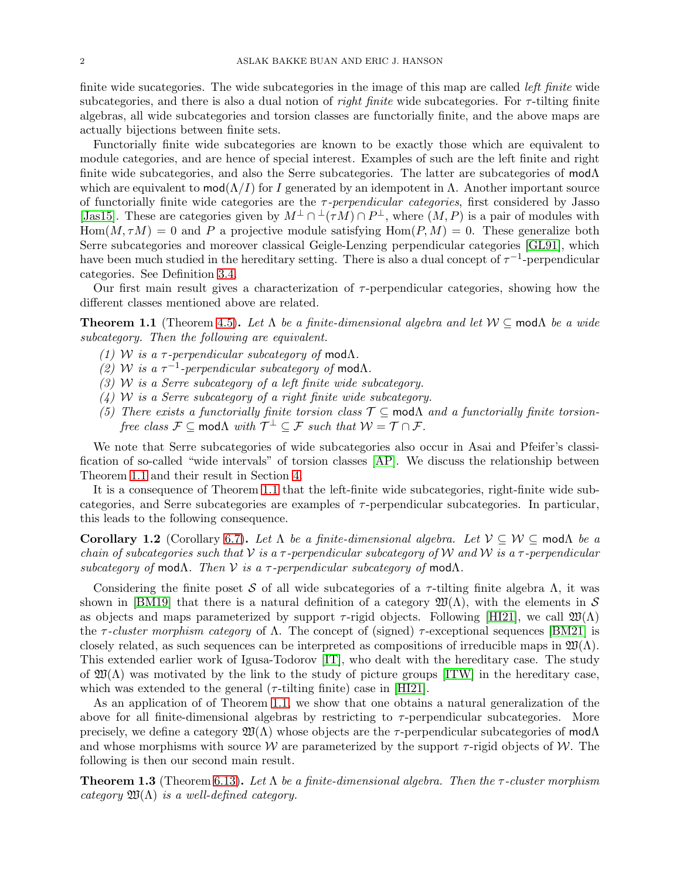finite wide sucategories. The wide subcategories in the image of this map are called *left finite* wide subcategories, and there is also a dual notion of *right finite* wide subcategories. For *τ*-tilting finite algebras, all wide subcategories and torsion classes are functorially finite, and the above maps are actually bijections between finite sets.

Functorially finite wide subcategories are known to be exactly those which are equivalent to module categories, and are hence of special interest. Examples of such are the left finite and right finite wide subcategories, and also the Serre subcategories. The latter are subcategories of modΛ which are equivalent to  $mod(\Lambda/I)$  for I generated by an idempotent in  $\Lambda$ . Another important source of functorially finite wide categories are the τ *-perpendicular categories*, first considered by Jasso [\[Jas15\]](#page-21-9). These are categories given by  $M^{\perp} \cap {}^{\perp}(\tau M) \cap P^{\perp}$ , where  $(M, P)$  is a pair of modules with  $\text{Hom}(M, \tau M) = 0$  and P a projective module satisfying  $\text{Hom}(P, M) = 0$ . These generalize both Serre subcategories and moreover classical Geigle-Lenzing perpendicular categories [\[GL91\]](#page-21-10), which have been much studied in the hereditary setting. There is also a dual concept of  $\tau^{-1}$ -perpendicular categories. See Definition [3.4.](#page-6-0)

Our first main result gives a characterization of  $\tau$ -perpendicular categories, showing how the different classes mentioned above are related.

<span id="page-1-0"></span>**Theorem 1.1** (Theorem [4.5\)](#page-8-0). Let  $\Lambda$  *be a finite-dimensional algebra and let*  $W \subseteq \text{mod}\Lambda$  *be a wide subcategory. Then the following are equivalent.*

- *(1)* W *is a*  $\tau$ -perpendicular subcategory of mod $\Lambda$ .
- $(2)$  W is a  $τ^{-1}$ -perpendicular subcategory of modΛ.
- *(3)* W *is a Serre subcategory of a left finite wide subcategory.*
- *(4)* W *is a Serre subcategory of a right finite wide subcategory.*
- (5) There exists a functorially finite torsion class  $\mathcal{T} \subseteq \text{mod}\Lambda$  and a functorially finite torsion*free class*  $\mathcal{F} \subseteq \text{mod}\Lambda$  *with*  $\mathcal{T}^{\perp} \subseteq \mathcal{F}$  *such that*  $\mathcal{W} = \mathcal{T} \cap \mathcal{F}$ *.*

We note that Serre subcategories of wide subcategories also occur in Asai and Pfeifer's classification of so-called "wide intervals" of torsion classes [\[AP\]](#page-21-11). We discuss the relationship between Theorem [1.1](#page-1-0) and their result in Section [4.](#page-7-0)

It is a consequence of Theorem [1.1](#page-1-0) that the left-finite wide subcategories, right-finite wide subcategories, and Serre subcategories are examples of  $\tau$ -perpendicular subcategories. In particular, this leads to the following consequence.

<span id="page-1-2"></span>Corollary 1.2 (Corollary [6.7\)](#page-15-0). Let  $\Lambda$  *be a finite-dimensional algebra. Let*  $V \subseteq W \subseteq \text{mod}\Lambda$  *be a chain of subcategories such that* V *is a* τ *-perpendicular subcategory of* W *and* W *is a* τ *-perpendicular subcategory of* modΛ*. Then* V *is a* τ *-perpendicular subcategory of* modΛ*.*

Considering the finite poset S of all wide subcategories of a  $\tau$ -tilting finite algebra  $\Lambda$ , it was shown in [\[BM19\]](#page-21-12) that there is a natural definition of a category  $\mathfrak{W}(\Lambda)$ , with the elements in S as objects and maps parameterized by support  $\tau$ -rigid objects. Following [\[HI21\]](#page-21-13), we call  $\mathfrak{W}(\Lambda)$ the  $\tau$ -cluster morphism category of  $\Lambda$ . The concept of (signed)  $\tau$ -exceptional sequences [\[BM21\]](#page-21-14) is closely related, as such sequences can be interpreted as compositions of irreducible maps in  $\mathfrak{W}(\Lambda)$ . This extended earlier work of Igusa-Todorov [\[IT\]](#page-21-15), who dealt with the hereditary case. The study of  $\mathfrak{W}(\Lambda)$  was motivated by the link to the study of picture groups [\[ITW\]](#page-21-16) in the hereditary case, which was extended to the general ( $\tau$ -tilting finite) case in [\[HI21\]](#page-21-13).

As an application of of Theorem [1.1,](#page-1-0) we show that one obtains a natural generalization of the above for all finite-dimensional algebras by restricting to  $\tau$ -perpendicular subcategories. More precisely, we define a category  $\mathfrak{W}(\Lambda)$  whose objects are the  $\tau$ -perpendicular subcategories of mod $\Lambda$ and whose morphisms with source  $W$  are parameterized by the support  $\tau$ -rigid objects of W. The following is then our second main result.

<span id="page-1-1"></span>Theorem 1.3 (Theorem [6.13\)](#page-17-0). *Let* Λ *be a finite-dimensional algebra. Then the* τ *-cluster morphism category*  $\mathfrak{W}(\Lambda)$  *is a well-defined category.*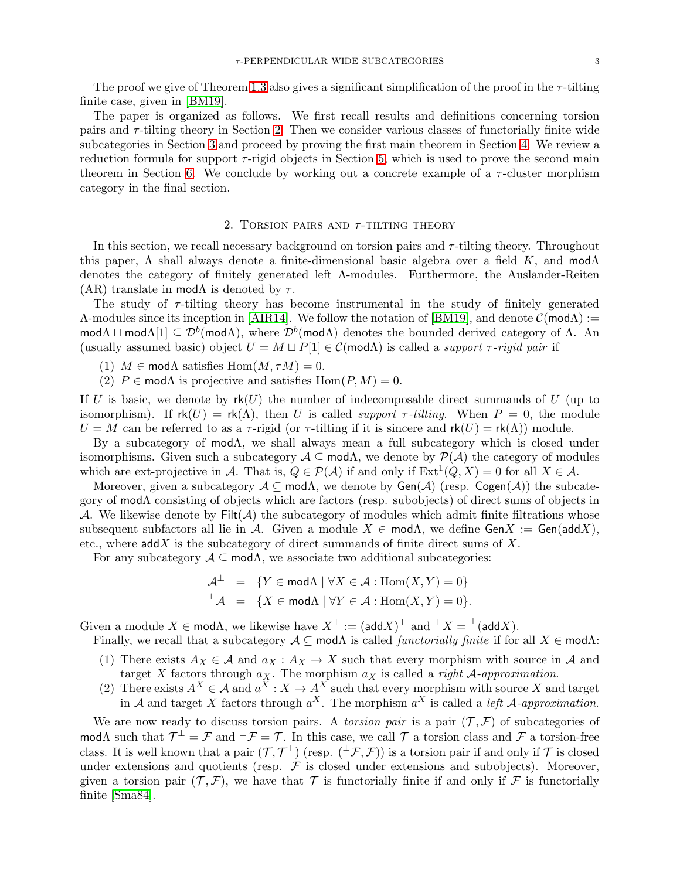The proof we give of Theorem [1.3](#page-1-1) also gives a significant simplification of the proof in the  $\tau$ -tilting finite case, given in [\[BM19\]](#page-21-12).

The paper is organized as follows. We first recall results and definitions concerning torsion pairs and  $\tau$ -tilting theory in Section [2.](#page-2-0) Then we consider various classes of functorially finite wide subcategories in Section [3](#page-5-0) and proceed by proving the first main theorem in Section [4.](#page-7-0) We review a reduction formula for support  $\tau$ -rigid objects in Section [5,](#page-11-0) which is used to prove the second main theorem in Section [6.](#page-13-0) We conclude by working out a concrete example of a  $\tau$ -cluster morphism category in the final section.

## 2. TORSION PAIRS AND  $\tau$ -TILTING THEORY

<span id="page-2-0"></span>In this section, we recall necessary background on torsion pairs and  $\tau$ -tilting theory. Throughout this paper,  $\Lambda$  shall always denote a finite-dimensional basic algebra over a field K, and mod $\Lambda$ denotes the category of finitely generated left Λ-modules. Furthermore, the Auslander-Reiten (AR) translate in mod $\Lambda$  is denoted by  $\tau$ .

The study of  $\tau$ -tilting theory has become instrumental in the study of finitely generated  $\Lambda$ -modules since its inception in [\[AIR14\]](#page-21-3). We follow the notation of [\[BM19\]](#page-21-12), and denote  $\mathcal{C}(\mathsf{mod}\Lambda)$  := modΛ  $\sqcup$  modΛ[1]  $\subseteq \mathcal{D}^b$ (modΛ), where  $\mathcal{D}^b$ (modΛ) denotes the bounded derived category of Λ. An (usually assumed basic) object  $U = M \sqcup P[1] \in \mathcal{C}(\text{mod}\Lambda)$  is called a *support*  $\tau$ -rigid pair if

(1)  $M \in \text{mod}\Lambda$  satisfies  $\text{Hom}(M, \tau M) = 0$ .

(2)  $P \in \text{mod}\Lambda$  is projective and satisfies  $\text{Hom}(P, M) = 0$ .

If U is basic, we denote by  $rk(U)$  the number of indecomposable direct summands of U (up to isomorphism). If  $rk(U) = rk(\Lambda)$ , then U is called *support*  $\tau$ -tilting. When  $P = 0$ , the module  $U = M$  can be referred to as a  $\tau$ -rigid (or  $\tau$ -tilting if it is sincere and  $rk(U) = rk(\Lambda)$ ) module.

By a subcategory of mod $\Lambda$ , we shall always mean a full subcategory which is closed under isomorphisms. Given such a subcategory  $A \subseteq \text{mod}\Lambda$ , we denote by  $\mathcal{P}(A)$  the category of modules which are ext-projective in A. That is,  $Q \in \mathcal{P}(\mathcal{A})$  if and only if  $\text{Ext}^1(Q,X) = 0$  for all  $X \in \mathcal{A}$ .

Moreover, given a subcategory  $A \subseteq \text{mod}\Lambda$ , we denote by  $\text{Gen}(\mathcal{A})$  (resp.  $\text{Cogen}(\mathcal{A})$ ) the subcategory of modΛ consisting of objects which are factors (resp. subobjects) of direct sums of objects in A. We likewise denote by  $Filt(\mathcal{A})$  the subcategory of modules which admit finite filtrations whose subsequent subfactors all lie in A. Given a module  $X \in \text{mod}\Lambda$ , we define  $\text{Gen}X := \text{Gen}(\text{add}X)$ , etc., where  $\mathsf{add} X$  is the subcategory of direct summands of finite direct sums of X.

For any subcategory  $A \subseteq \text{mod}\Lambda$ , we associate two additional subcategories:

$$
\mathcal{A}^{\perp} = \{ Y \in \text{mod}\Lambda \mid \forall X \in \mathcal{A} : \text{Hom}(X, Y) = 0 \}
$$
  

$$
^{\perp}\mathcal{A} = \{ X \in \text{mod}\Lambda \mid \forall Y \in \mathcal{A} : \text{Hom}(X, Y) = 0 \}.
$$

Given a module  $X \in \text{mod}\Lambda$ , we likewise have  $X^{\perp} := (\text{add } X)^{\perp}$  and  $^{\perp} X = {^{\perp}} (\text{add } X)$ .

Finally, we recall that a subcategory  $A \subseteq \text{mod}\Lambda$  is called *functorially finite* if for all  $X \in \text{mod}\Lambda$ :

- (1) There exists  $A_X \in \mathcal{A}$  and  $a_X : A_X \to X$  such that every morphism with source in  $\mathcal{A}$  and target X factors through  $a_X$ . The morphism  $a_X$  is called a *right* A-*approximation*.
- (2) There exists  $A^X \in \mathcal{A}$  and  $a^X : X \to A^X$  such that every morphism with source X and target in A and target X factors through  $a^X$ . The morphism  $a^X$  is called a *left* A-approximation.

We are now ready to discuss torsion pairs. A *torsion pair* is a pair  $(\mathcal{T}, \mathcal{F})$  of subcategories of modΛ such that  $\mathcal{T}^{\perp} = \mathcal{F}$  and  $^{\perp}\mathcal{F} = \mathcal{T}$ . In this case, we call  $\mathcal{T}$  a torsion class and  $\mathcal{F}$  a torsion-free class. It is well known that a pair  $(\mathcal{T}, \mathcal{T}^{\perp})$  (resp.  $({}^{\perp}\mathcal{F}, \mathcal{F})$ ) is a torsion pair if and only if  $\mathcal{T}$  is closed under extensions and quotients (resp.  $\mathcal F$  is closed under extensions and subobjects). Moreover, given a torsion pair  $(\mathcal{T}, \mathcal{F})$ , we have that  $\mathcal T$  is functorially finite if and only if  $\mathcal F$  is functorially finite [\[Sma84\]](#page-21-17).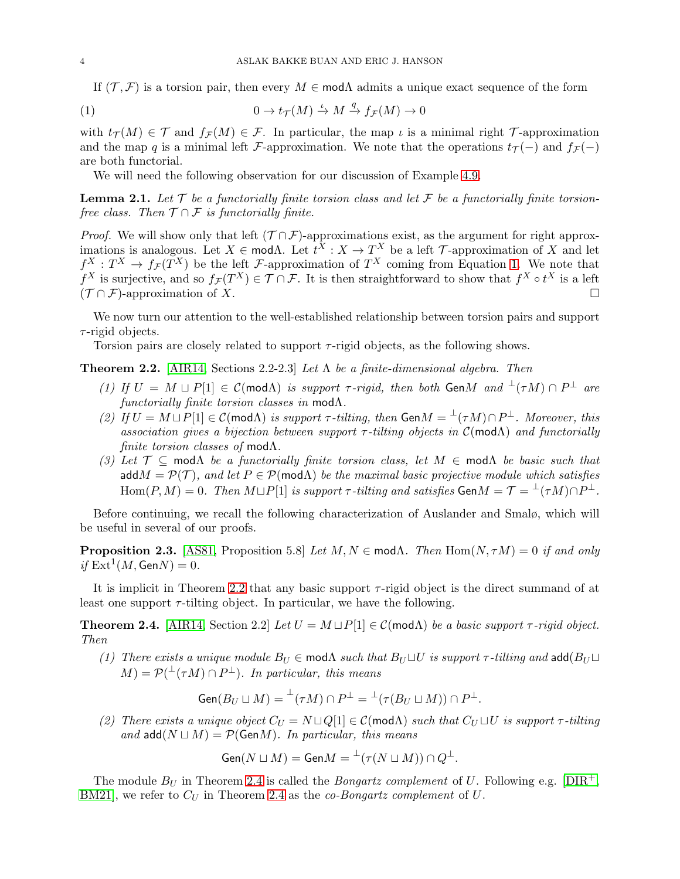<span id="page-3-0"></span>If  $(T, \mathcal{F})$  is a torsion pair, then every  $M \in \mathsf{mod}\Lambda$  admits a unique exact sequence of the form

(1) 
$$
0 \to t_{\mathcal{T}}(M) \xrightarrow{\iota} M \xrightarrow{q} f_{\mathcal{F}}(M) \to 0
$$

with  $t_{\mathcal{T}}(M) \in \mathcal{T}$  and  $f_{\mathcal{F}}(M) \in \mathcal{F}$ . In particular, the map  $\iota$  is a minimal right  $\mathcal{T}$ -approximation and the map q is a minimal left F-approximation. We note that the operations  $t_T(-)$  and  $f_{\mathcal{F}}(-)$ are both functorial.

We will need the following observation for our discussion of Example [4.9.](#page-10-0)

<span id="page-3-4"></span>**Lemma 2.1.** Let  $\mathcal T$  be a functorially finite torsion class and let  $\mathcal F$  be a functorially finite torsion*free class. Then*  $\mathcal{T} \cap \mathcal{F}$  *is functorially finite.* 

*Proof.* We will show only that left  $(T \cap \mathcal{F})$ -approximations exist, as the argument for right approximations is analogous. Let  $X \in \text{mod}\Lambda$ . Let  $t^X : X \to T^X$  be a left  $\mathcal T$ -approximation of X and let  $f^X: T^X \to f_{\mathcal{F}}(T^X)$  be the left F-approximation of  $T^X$  coming from Equation [1.](#page-3-0) We note that  $f^X$  is surjective, and so  $f_{\mathcal{F}}(T^X) \in \mathcal{T} \cap \mathcal{F}$ . It is then straightforward to show that  $f^X \circ t^X$  is a left  $({\mathcal T} \cap {\mathcal F})$ -approximation of X.

We now turn our attention to the well-established relationship between torsion pairs and support  $\tau$ -rigid objects.

Torsion pairs are closely related to support  $τ$ -rigid objects, as the following shows.

<span id="page-3-1"></span>Theorem 2.2. [\[AIR14,](#page-21-3) Sections 2.2-2.3] *Let* Λ *be a finite-dimensional algebra. Then*

- *(1)* If  $U = M \sqcup P[1] \in \mathcal{C}(\text{mod }\Lambda)$  *is support*  $\tau$ -rigid, then both GenM and  $\perp(\tau M) \cap P^{\perp}$  are *functorially finite torsion classes in* modΛ*.*
- (2) If  $U = M \sqcup P[1] \in \mathcal{C}(\text{mod}\Lambda)$  *is support*  $\tau$ -tilting, then  $\text{Gen } M = {}^{\perp}(\tau M) \cap P^{\perp}$ . Moreover, this *association gives a bijection between support* τ *-tilting objects in* C(modΛ) *and functorially finite torsion classes of* modΛ*.*
- *(3) Let*  $\mathcal{T} \subseteq \text{mod }\Lambda$  *be a functorially finite torsion class, let*  $M \in \text{mod }\Lambda$  *be basic such that* add $M = \mathcal{P}(\mathcal{T})$ *, and let*  $P \in \mathcal{P}(\text{mod}\Lambda)$  *be the maximal basic projective module which satisfies*  $\mathrm{Hom}(P, M) = 0$ *. Then*  $M \sqcup P[1]$  *is support*  $\tau$ -tilting and satisfies  $\mathsf{Gen} M = \mathcal{T} = {}^{\perp}(\tau M) \cap P^{\perp}$ *.*

Before continuing, we recall the following characterization of Auslander and Smalø, which will be useful in several of our proofs.

<span id="page-3-3"></span>**Proposition 2.3.** [\[AS81,](#page-21-4) Proposition 5.8] *Let*  $M, N \in \text{mod}\Lambda$ . Then  $\text{Hom}(N, \tau M) = 0$  *if and only*  $if \operatorname{Ext}^1(M,\mathsf{Gen} N)=0.$ 

It is implicit in Theorem [2.2](#page-3-1) that any basic support  $\tau$ -rigid object is the direct summand of at least one support  $\tau$ -tilting object. In particular, we have the following.

<span id="page-3-2"></span>**Theorem 2.4.** [\[AIR14,](#page-21-3) Section 2.2] *Let*  $U = M \sqcup P[1] \in \mathcal{C}(\text{mod}\Lambda)$  *be a basic support*  $\tau$ -rigid object. *Then*

*(1) There exists a unique module*  $B_U \in \text{mod}\Lambda$  *such that*  $B_U \sqcup U$  *is support*  $\tau$ -tilting and add( $B_U \sqcup$  $(M) = \mathcal{P}(\perp^{\perp}(\tau M) \cap P^{\perp}).$  In particular, this means

$$
\operatorname{Gen}(B_U \sqcup M) = {}^{\perp}(\tau M) \cap P^{\perp} = {}^{\perp}(\tau(B_U \sqcup M)) \cap P^{\perp}.
$$

*(2) There exists a unique object*  $C_U = N \sqcup Q[1] \in \mathcal{C}(\text{mod}\Lambda)$  *such that*  $C_U \sqcup U$  *is support*  $\tau$ -tilting *and* add( $N ⊔ M$ ) =  $P$ (GenM). In particular, this means

$$
\mathsf{Gen}(N \sqcup M) = \mathsf{Gen} M = {^{\perp}(\tau(N \sqcup M))} \cap Q^{\perp}.
$$

The module  $B_U$  in Theorem [2.4](#page-3-2) is called the *Bongartz complement* of U. Following e.g. [\[DIR](#page-21-18)<sup>+</sup>, [BM21\]](#page-21-14), we refer to  $C_U$  in Theorem [2.4](#page-3-2) as the *co-Bongartz complement* of  $U$ .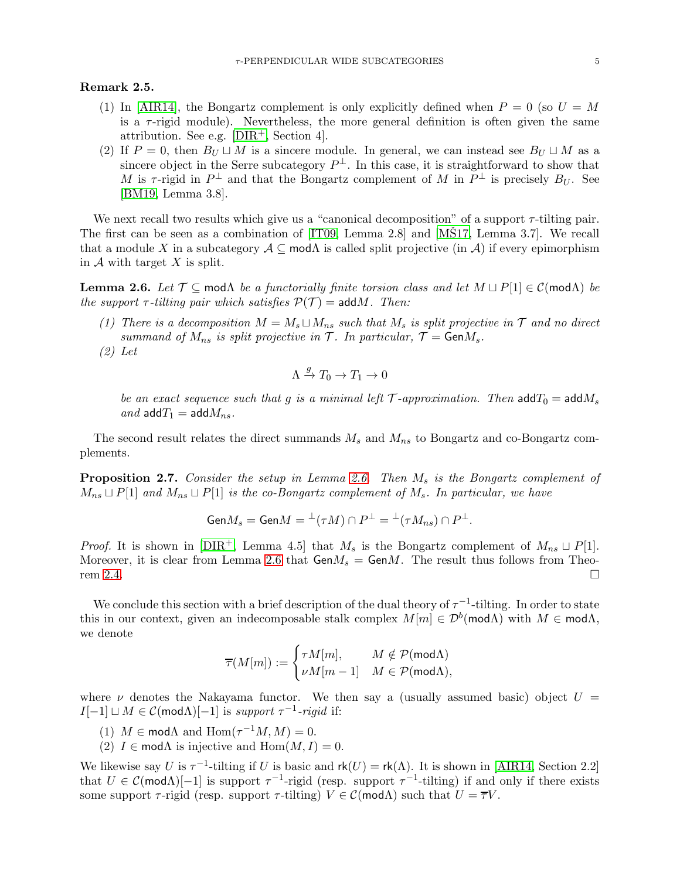## Remark 2.5.

- (1) In [\[AIR14\]](#page-21-3), the Bongartz complement is only explicitly defined when  $P = 0$  (so  $U = M$ is a  $\tau$ -rigid module). Nevertheless, the more general definition is often given the same attribution. See e.g.  $[DIR<sup>+</sup>, Section 4]$ .
- (2) If  $P = 0$ , then  $B_U \sqcup M$  is a sincere module. In general, we can instead see  $B_U \sqcup M$  as a sincere object in the Serre subcategory  $P^{\perp}$ . In this case, it is straightforward to show that M is  $\tau$ -rigid in  $P^{\perp}$  and that the Bongartz complement of M in  $P^{\perp}$  is precisely  $B_U$ . See [\[BM19,](#page-21-12) Lemma 3.8].

We next recall two results which give us a "canonical decomposition" of a support  $\tau$ -tilting pair. The first can be seen as a combination of  $[IT09, Lemma 2.8]$  and  $[MS17, Lemma 3.7]$ . We recall that a module X in a subcategory  $A \subseteq \text{mod}\Lambda$  is called split projective (in A) if every epimorphism in  $A$  with target  $X$  is split.

<span id="page-4-0"></span>**Lemma 2.6.** *Let*  $\mathcal{T} \subseteq \text{mod}\Lambda$  *be a functorially finite torsion class and let*  $M \sqcup P[1] \in \mathcal{C}(\text{mod}\Lambda)$  *be the support*  $\tau$ -tilting pair which satisfies  $P(\mathcal{T}) = \text{add} M$ . Then:

- *(1) There is a decomposition*  $M = M_s ⊔ M_{ns}$  *such that*  $M_s$  *is split projective in*  $T$  *and no direct summand of*  $M_{ns}$  *is split projective in*  $\mathcal{T}$ *. In particular,*  $\mathcal{T} = \text{Gen } M_s$ *.*
- *(2) Let*

$$
\Lambda \xrightarrow{g} T_0 \to T_1 \to 0
$$

*be an exact sequence such that* g *is a minimal left*  $\mathcal{T}$ *-approximation. Then*  $\text{add}\,T_0 = \text{add}\,M_s$ *and*  $\text{add } T_1 = \text{add } M_{ns}$ .

The second result relates the direct summands  $M_s$  and  $M_{ns}$  to Bongartz and co-Bongartz complements.

<span id="page-4-1"></span>**Proposition 2.7.** *Consider the setup in Lemma [2.6.](#page-4-0) Then*  $M_s$  *is the Bongartz complement of* Mns ⊔ P[1] *and* Mns ⊔ P[1] *is the co-Bongartz complement of* Ms*. In particular, we have*

$$
\mathsf{Gen} M_s=\mathsf{Gen} M= {^{\perp}(\tau M)}\cap P^{\perp}= {^{\perp}(\tau M_{ns})}\cap P^{\perp}.
$$

*Proof.* It is shown in [\[DIR](#page-21-18)<sup>+</sup>, Lemma 4.5] that  $M_s$  is the Bongartz complement of  $M_{ns} \sqcup P[1]$ . Moreover, it is clear from Lemma [2.6](#page-4-0) that  $GenM_s = GenM$ . The result thus follows from Theo-rem [2.4.](#page-3-2)

We conclude this section with a brief description of the dual theory of  $\tau^{-1}$ -tilting. In order to state this in our context, given an indecomposable stalk complex  $M[m] \in \mathcal{D}^b(\mathsf{mod}\Lambda)$  with  $M \in \mathsf{mod}\Lambda$ , we denote

$$
\overline{\tau}(M[m]) := \begin{cases} \tau M[m], & M \notin \mathcal{P}(\mathsf{mod}\Lambda) \\ \nu M[m-1] & M \in \mathcal{P}(\mathsf{mod}\Lambda), \end{cases}
$$

where  $\nu$  denotes the Nakayama functor. We then say a (usually assumed basic) object  $U =$  $I[-1] \sqcup M \in \mathcal{C}(\text{mod}\Lambda)[-1]$  is *support*  $\tau^{-1}$ -rigid if:

- (1)  $M \in \text{mod}\Lambda$  and  $\text{Hom}(\tau^{-1}M, M) = 0$ .
- (2)  $I \in \text{mod}\Lambda$  is injective and  $\text{Hom}(M, I) = 0$ .

We likewise say U is  $\tau^{-1}$ -tilting if U is basic and  $rk(U) = rk(\Lambda)$ . It is shown in [\[AIR14,](#page-21-3) Section 2.2] that  $U \in \mathcal{C}(\mathsf{mod}\Lambda)[-1]$  is support  $\tau^{-1}$ -rigid (resp. support  $\tau^{-1}$ -tilting) if and only if there exists some support  $\tau$ -rigid (resp. support  $\tau$ -tilting)  $V \in \mathcal{C}(\text{mod}\Lambda)$  such that  $U = \overline{\tau}V$ .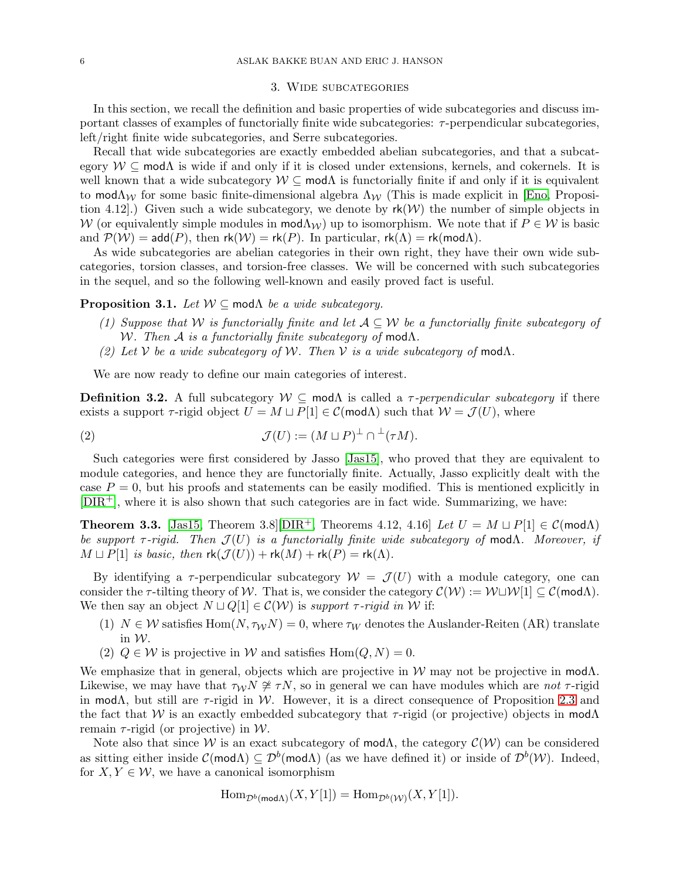#### 3. Wide subcategories

<span id="page-5-0"></span>In this section, we recall the definition and basic properties of wide subcategories and discuss important classes of examples of functorially finite wide subcategories:  $\tau$ -perpendicular subcategories. left/right finite wide subcategories, and Serre subcategories.

Recall that wide subcategories are exactly embedded abelian subcategories, and that a subcategory  $W \subseteq \text{mod}\Lambda$  is wide if and only if it is closed under extensions, kernels, and cokernels. It is well known that a wide subcategory  $W \subseteq \text{mod}\Lambda$  is functorially finite if and only if it is equivalent to mod $\Lambda_{\mathcal{W}}$  for some basic finite-dimensional algebra  $\Lambda_{\mathcal{W}}$  (This is made explicit in [\[Eno,](#page-21-19) Proposition 4.12. Given such a wide subcategory, we denote by  $rk(W)$  the number of simple objects in W (or equivalently simple modules in  $\text{mod}\Lambda_W$ ) up to isomorphism. We note that if  $P \in W$  is basic and  $P(W) = \mathsf{add}(P)$ , then  $\mathsf{rk}(W) = \mathsf{rk}(P)$ . In particular,  $\mathsf{rk}(\Lambda) = \mathsf{rk}(\mathsf{mod}\Lambda)$ .

As wide subcategories are abelian categories in their own right, they have their own wide subcategories, torsion classes, and torsion-free classes. We will be concerned with such subcategories in the sequel, and so the following well-known and easily proved fact is useful.

## <span id="page-5-2"></span>**Proposition 3.1.** *Let*  $W \subseteq \text{mod}\Lambda$  *be a wide subcategory.*

- *(1) Suppose that* W *is functorially finite and let* A ⊆ W *be a functorially finite subcategory of* W*. Then* A *is a functorially finite subcategory of* modΛ*.*
- *(2) Let*  $V$  *be a wide subcategory of*  $W$ *. Then*  $V$  *is a wide subcategory of* mod $\Lambda$ *.*

We are now ready to define our main categories of interest.

**Definition 3.2.** A full subcategory  $W \subseteq \text{mod}\Lambda$  is called a  $\tau$ -perpendicular subcategory if there exists a support  $\tau$ -rigid object  $U = M \sqcup P[1] \in \mathcal{C}(\mathsf{mod}\Lambda)$  such that  $\mathcal{W} = \mathcal{J}(U)$ , where

(2) 
$$
\mathcal{J}(U) := (M \sqcup P)^{\perp} \cap {}^{\perp}(\tau M).
$$

Such categories were first considered by Jasso [\[Jas15\]](#page-21-9), who proved that they are equivalent to module categories, and hence they are functorially finite. Actually, Jasso explicitly dealt with the case  $P = 0$ , but his proofs and statements can be easily modified. This is mentioned explicitly in  $[DIR<sup>+</sup>]$  $[DIR<sup>+</sup>]$ , where it is also shown that such categories are in fact wide. Summarizing, we have:

<span id="page-5-1"></span>**Theorem 3.3.** [\[Jas15,](#page-21-9) Theorem 3.8][\[DIR](#page-21-18)<sup>+</sup>, Theorems 4.12, 4.16] *Let*  $U = M \sqcup P[1] \in \mathcal{C}(\text{mod}\Lambda)$ *be support*  $τ$ -rigid. Then  $J(U)$  is a functorially finite wide subcategory of modΛ. Moreover, if  $M \sqcup P[1]$  *is basic, then*  $\mathsf{rk}(\mathcal{J}(U)) + \mathsf{rk}(M) + \mathsf{rk}(P) = \mathsf{rk}(\Lambda)$ .

By identifying a  $\tau$ -perpendicular subcategory  $\mathcal{W} = \mathcal{J}(U)$  with a module category, one can consider the  $\tau$ -tilting theory of W. That is, we consider the category  $\mathcal{C}(\mathcal{W}) := \mathcal{W} \sqcup \mathcal{W}[1] \subseteq \mathcal{C}(\mathsf{mod}\Lambda)$ . We then say an object  $N \sqcup Q[1] \in \mathcal{C}(\mathcal{W})$  is *support*  $\tau$ -rigid in W if:

- (1)  $N \in \mathcal{W}$  satisfies Hom $(N, \tau_{\mathcal{W}}N) = 0$ , where  $\tau_{\mathcal{W}}$  denotes the Auslander-Reiten (AR) translate in W.
- (2)  $Q \in \mathcal{W}$  is projective in W and satisfies  $Hom(Q, N) = 0$ .

We emphasize that in general, objects which are projective in W may not be projective in mod $\Lambda$ . Likewise, we may have that  $\tau_W N \ncong \tau N$ , so in general we can have modules which are *not*  $\tau$ -rigid in mod $\Lambda$ , but still are  $\tau$ -rigid in W. However, it is a direct consequence of Proposition [2.3](#page-3-3) and the fact that W is an exactly embedded subcategory that  $\tau$ -rigid (or projective) objects in mod $\Lambda$ remain  $\tau$ -rigid (or projective) in W.

Note also that since W is an exact subcategory of mod $\Lambda$ , the category  $\mathcal{C}(\mathcal{W})$  can be considered as sitting either inside  $\mathcal{C}(\text{mod}\Lambda) \subseteq \mathcal{D}^b(\text{mod}\Lambda)$  (as we have defined it) or inside of  $\mathcal{D}^b(\mathcal{W})$ . Indeed, for  $X, Y \in \mathcal{W}$ , we have a canonical isomorphism

$$
\operatorname{Hom}_{\mathcal{D}^b(\operatorname{mod}\Lambda)}(X,Y[1])=\operatorname{Hom}_{\mathcal{D}^b(\mathcal{W})}(X,Y[1]).
$$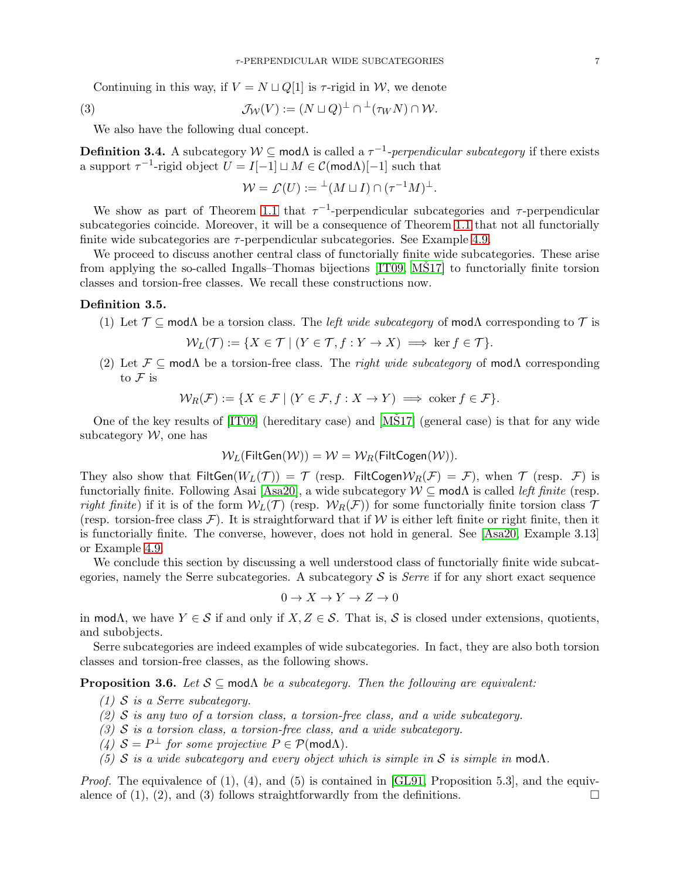Continuing in this way, if  $V = N \sqcup Q[1]$  is  $\tau$ -rigid in W, we denote

(3) 
$$
\mathcal{J}_{\mathcal{W}}(V) := (N \sqcup Q)^{\perp} \cap {}^{\perp}(\tau_W N) \cap \mathcal{W}.
$$

We also have the following dual concept.

<span id="page-6-0"></span>**Definition 3.4.** A subcategory  $W \subseteq \text{mod}\Lambda$  is called a  $\tau^{-1}$ -perpendicular subcategory if there exists a support  $\tau^{-1}$ -rigid object  $U = I[-1] \sqcup M \in \mathcal{C}(\mathsf{mod}\Lambda)[-1]$  such that

$$
\mathcal{W} = \mathcal{L}(U) := {}^{\perp}(M \sqcup I) \cap (\tau^{-1}M)^{\perp}.
$$

We show as part of Theorem [1.1](#page-1-0) that  $\tau^{-1}$ -perpendicular subcategories and  $\tau$ -perpendicular subcategories coincide. Moreover, it will be a consequence of Theorem [1.1](#page-1-0) that not all functorially finite wide subcategories are  $\tau$ -perpendicular subcategories. See Example [4.9.](#page-10-0)

We proceed to discuss another central class of functorially finite wide subcategories. These arise from applying the so-called Ingalls–Thomas bijections  $[IT09, M\dot{S}17]$  to functorially finite torsion classes and torsion-free classes. We recall these constructions now.

## <span id="page-6-2"></span>Definition 3.5.

(1) Let  $\mathcal{T} \subseteq \text{mod}\Lambda$  be a torsion class. The *left wide subcategory* of mod $\Lambda$  corresponding to  $\mathcal{T}$  is

$$
\mathcal{W}_L(\mathcal{T}) := \{ X \in \mathcal{T} \mid (Y \in \mathcal{T}, f : Y \to X) \implies \ker f \in \mathcal{T} \}.
$$

(2) Let  $\mathcal{F} \subseteq \text{mod}\Lambda$  be a torsion-free class. The *right wide subcategory* of mod $\Lambda$  corresponding to  $\mathcal F$  is

$$
\mathcal{W}_R(\mathcal{F}) := \{ X \in \mathcal{F} \mid (Y \in \mathcal{F}, f : X \to Y) \implies \text{coker } f \in \mathcal{F} \}.
$$

One of the key results of  $[T09]$  (hereditary case) and  $[M\dot{S}17]$  (general case) is that for any wide subcategory  $W$ , one has

$$
\mathcal{W}_L(\mathsf{FiltGen}(\mathcal{W})) = \mathcal{W} = \mathcal{W}_R(\mathsf{FiltCogen}(\mathcal{W})).
$$

They also show that  $FiltGen(W_L(\mathcal{T})) = \mathcal{T}$  (resp.  $FiltCogenW_R(\mathcal{F}) = \mathcal{F}$ ), when  $\mathcal{T}$  (resp.  $\mathcal{F}$ ) is functorially finite. Following Asai [\[Asa20\]](#page-21-20), a wide subcategory W ⊆ modΛ is called *left finite* (resp. *right finite*) if it is of the form  $W_L(\mathcal{T})$  (resp.  $W_R(\mathcal{F})$ ) for some functorially finite torsion class  $\mathcal T$ (resp. torsion-free class  $\mathcal{F}$ ). It is straightforward that if W is either left finite or right finite, then it is functorially finite. The converse, however, does not hold in general. See [\[Asa20,](#page-21-20) Example 3.13] or Example [4.9.](#page-10-0)

We conclude this section by discussing a well understood class of functorially finite wide subcategories, namely the Serre subcategories. A subcategory  $\mathcal S$  is *Serre* if for any short exact sequence

$$
0 \to X \to Y \to Z \to 0
$$

in mod $\Lambda$ , we have  $Y \in \mathcal{S}$  if and only if  $X, Z \in \mathcal{S}$ . That is,  $\mathcal{S}$  is closed under extensions, quotients, and subobjects.

Serre subcategories are indeed examples of wide subcategories. In fact, they are also both torsion classes and torsion-free classes, as the following shows.

<span id="page-6-1"></span>**Proposition 3.6.** *Let*  $S \subseteq \text{mod}\Lambda$  *be a subcategory. Then the following are equivalent:* 

- *(1)* S *is a Serre subcategory.*
- *(2)* S *is any two of a torsion class, a torsion-free class, and a wide subcategory.*
- *(3)* S *is a torsion class, a torsion-free class, and a wide subcategory.*
- $(4)$   $S = P^{\perp}$  *for some projective*  $P \in \mathcal{P}(\mathsf{mod}\Lambda)$ *.*
- *(5)* S *is a wide subcategory and every object which is simple in* S *is simple in* mod $\Lambda$ .

*Proof.* The equivalence of (1), (4), and (5) is contained in [\[GL91,](#page-21-10) Proposition 5.3], and the equivalence of (1), (2), and (3) follows straightforwardly from the definitions.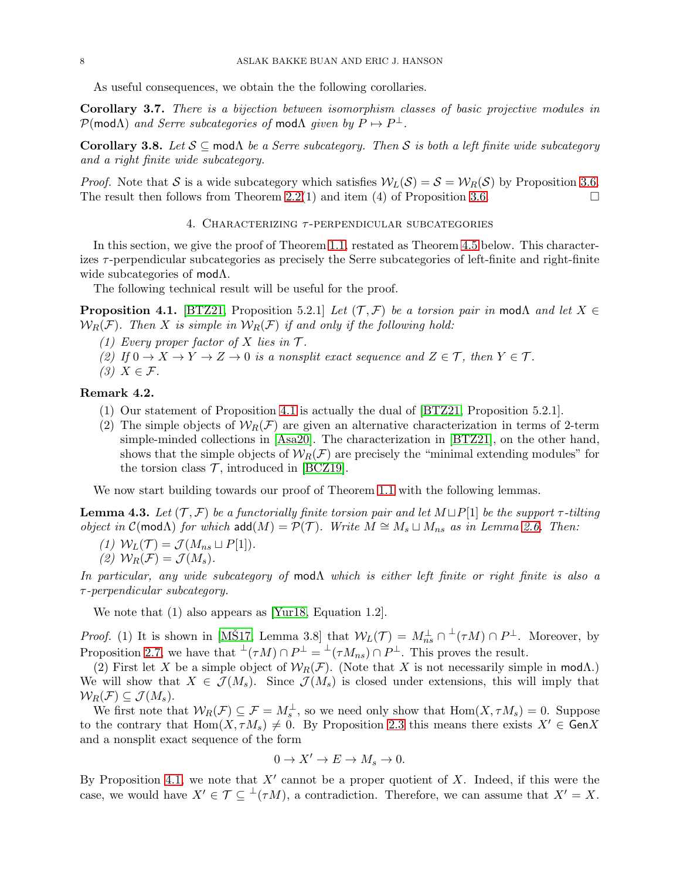As useful consequences, we obtain the the following corollaries.

Corollary 3.7. *There is a bijection between isomorphism classes of basic projective modules in*  $\mathcal{P}(\text{mod}\Lambda)$  *and Serre subcategories of* mod $\Lambda$  *given by*  $P \mapsto P^{\perp}$ .

<span id="page-7-3"></span>Corollary 3.8. *Let* S ⊆ modΛ *be a Serre subcategory. Then* S *is both a left finite wide subcategory and a right finite wide subcategory.*

<span id="page-7-0"></span>*Proof.* Note that S is a wide subcategory which satisfies  $W_L(S) = S = W_R(S)$  by Proposition [3.6.](#page-6-1) The result then follows from Theorem [2.2\(](#page-3-1)1) and item (4) of Proposition [3.6.](#page-6-1)

4. CHARACTERIZING  $\tau$ -PERPENDICULAR SUBCATEGORIES

In this section, we give the proof of Theorem [1.1,](#page-1-0) restated as Theorem [4.5](#page-8-0) below. This characterizes  $\tau$ -perpendicular subcategories as precisely the Serre subcategories of left-finite and right-finite wide subcategories of modΛ.

The following technical result will be useful for the proof.

<span id="page-7-1"></span>**Proposition 4.1.** [\[BTZ21,](#page-21-21) Proposition 5.2.1] *Let*  $(\mathcal{T}, \mathcal{F})$  *be a torsion pair in* mod $\Lambda$  *and let*  $X \in$  $W_R(F)$ *. Then* X is simple in  $W_R(F)$  if and only if the following hold:

- *(1)* Every proper factor of X lies in  $\mathcal{T}$ .
- (2) If  $0 \to X \to Y \to Z \to 0$  *is a nonsplit exact sequence and*  $Z \in \mathcal{T}$ *, then*  $Y \in \mathcal{T}$ *.*
- *(3)* X ∈ F*.*

# Remark 4.2.

- (1) Our statement of Proposition [4.1](#page-7-1) is actually the dual of [\[BTZ21,](#page-21-21) Proposition 5.2.1].
- (2) The simple objects of  $W_R(\mathcal{F})$  are given an alternative characterization in terms of 2-term simple-minded collections in [\[Asa20\]](#page-21-20). The characterization in [\[BTZ21\]](#page-21-21), on the other hand, shows that the simple objects of  $W_R(\mathcal{F})$  are precisely the "minimal extending modules" for the torsion class  $\mathcal{T}$ , introduced in [\[BCZ19\]](#page-21-22).

We now start building towards our proof of Theorem [1.1](#page-1-0) with the following lemmas.

<span id="page-7-2"></span>**Lemma 4.3.** *Let*  $(T, \mathcal{F})$  *be a functorially finite torsion pair and let*  $M \sqcup P[1]$  *be the support*  $\tau$ -tilting *object in*  $\mathcal{C}(\text{mod}\Lambda)$  *for which*  $\text{add}(M) = \mathcal{P}(\mathcal{T})$ *. Write*  $M \cong M_s \sqcup M_{ns}$  *as in Lemma [2.6.](#page-4-0)* Then:

- $(1)$   $W<sub>L</sub>(T) = \mathcal{J}(M_{ns} \sqcup P[1]).$
- (2)  $W_R(\mathcal{F}) = \mathcal{J}(M_s)$ .

*In particular, any wide subcategory of* modΛ *which is either left finite or right finite is also a* τ *-perpendicular subcategory.*

We note that  $(1)$  also appears as [\[Yur18,](#page-21-23) Equation 1.2].

*Proof.* (1) It is shown in [MŠ17, Lemma 3.8] that  $W_L(\mathcal{T}) = M_{ns}^{\perp} \cap {}^{\perp}(\tau M) \cap P^{\perp}$ . Moreover, by Proposition [2.7,](#page-4-1) we have that  $\perp(\tau M) \cap P^{\perp} = \perp(\tau M_{ns}) \cap P^{\perp}$ . This proves the result.

(2) First let X be a simple object of  $W_R(\mathcal{F})$ . (Note that X is not necessarily simple in modA.) We will show that  $X \in \mathcal{J}(M_s)$ . Since  $\mathcal{J}(M_s)$  is closed under extensions, this will imply that  $\mathcal{W}_R(\mathcal{F}) \subseteq \mathcal{J}(M_s).$ 

We first note that  $W_R(\mathcal{F}) \subseteq \mathcal{F} = M_s^{\perp}$ , so we need only show that  $\text{Hom}(X, \tau M_s) = 0$ . Suppose to the contrary that  $\text{Hom}(X, \tau M_s) \neq 0$ . By Proposition [2.3](#page-3-3) this means there exists  $X' \in \text{Gen } X$ and a nonsplit exact sequence of the form

$$
0 \to X' \to E \to M_s \to 0.
$$

By Proposition [4.1,](#page-7-1) we note that  $X'$  cannot be a proper quotient of X. Indeed, if this were the case, we would have  $X' \in \mathcal{T} \subseteq {}^{\perp}(\tau M)$ , a contradiction. Therefore, we can assume that  $X' = X$ .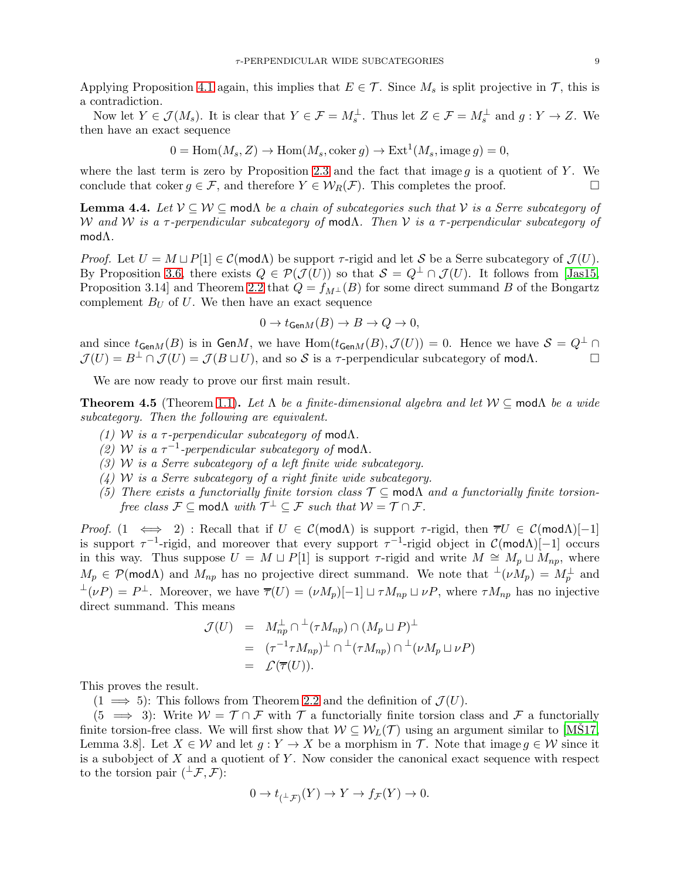Applying Proposition [4.1](#page-7-1) again, this implies that  $E \in \mathcal{T}$ . Since  $M_s$  is split projective in  $\mathcal{T}$ , this is a contradiction.

Now let  $Y \in \mathcal{J}(M_s)$ . It is clear that  $Y \in \mathcal{F} = M_s^{\perp}$ . Thus let  $Z \in \mathcal{F} = M_s^{\perp}$  and  $g: Y \to Z$ . We then have an exact sequence

$$
0 = \text{Hom}(M_s, Z) \to \text{Hom}(M_s, \text{coker } g) \to \text{Ext}^1(M_s, \text{image } g) = 0,
$$

where the last term is zero by Proposition [2.3](#page-3-3) and the fact that image  $q$  is a quotient of Y. We conclude that coker  $g \in \mathcal{F}$ , and therefore  $Y \in \mathcal{W}_R(\mathcal{F})$ . This completes the proof.

<span id="page-8-1"></span>**Lemma 4.4.** Let  $V \subseteq W \subseteq \text{mod}\Lambda$  *be a chain of subcategories such that*  $V$  *is a Serre subcategory of* W *and* W *is a* τ *-perpendicular subcategory of* modΛ*. Then* V *is a* τ *-perpendicular subcategory of* modΛ*.*

*Proof.* Let  $U = M \sqcup P[1] \in \mathcal{C}(\text{mod}\Lambda)$  be support  $\tau$ -rigid and let S be a Serre subcategory of  $\mathcal{J}(U)$ . By Proposition [3.6,](#page-6-1) there exists  $Q \in \mathcal{P}(\mathcal{J}(U))$  so that  $\mathcal{S} = Q^{\perp} \cap \mathcal{J}(U)$ . It follows from [\[Jas15,](#page-21-9) Proposition 3.14] and Theorem [2.2](#page-3-1) that  $Q = f_{M\perp}(B)$  for some direct summand B of the Bongartz complement  $B_U$  of U. We then have an exact sequence

$$
0 \to t_{\text{Gen}M}(B) \to B \to Q \to 0,
$$

and since  $t_{GenM}(B)$  is in GenM, we have  $Hom(t_{GenM}(B), \mathcal{J}(U)) = 0$ . Hence we have  $S = Q^{\perp} \cap$  $\mathcal{J}(U) = B^{\perp} \cap \mathcal{J}(U) = \mathcal{J}(B \sqcup U)$ , and so S is a  $\tau$ -perpendicular subcategory of mod $\Lambda$ .

We are now ready to prove our first main result.

<span id="page-8-0"></span>**Theorem 4.5** (Theorem [1.1\)](#page-1-0). Let  $\Lambda$  *be a finite-dimensional algebra and let*  $W \subseteq \text{mod}\Lambda$  *be a wide subcategory. Then the following are equivalent.*

- *(1) W is a*  $τ$ -*perpendicular subcategory of* mod $Λ$ .
- $(2)$  W is a  $τ^{-1}$ -perpendicular subcategory of modΛ.
- *(3)* W *is a Serre subcategory of a left finite wide subcategory.*
- *(4)* W *is a Serre subcategory of a right finite wide subcategory.*
- *(5) There exists a functorially finite torsion class* T ⊆ modΛ *and a functorially finite torsionfree class*  $\mathcal{F} \subseteq \text{mod}\Lambda$  *with*  $\mathcal{T}^{\perp} \subseteq \mathcal{F}$  *such that*  $\mathcal{W} = \mathcal{T} \cap \mathcal{F}$ *.*

*Proof.* (1  $\iff$  2) : Recall that if  $U \in \mathcal{C}(\text{mod}\Lambda)$  is support  $\tau$ -rigid, then  $\overline{\tau}U \in \mathcal{C}(\text{mod}\Lambda)[-1]$ is support  $\tau^{-1}$ -rigid, and moreover that every support  $\tau^{-1}$ -rigid object in  $\mathcal{C}(\text{mod}\Lambda)[-1]$  occurs in this way. Thus suppose  $U = M \sqcup P[1]$  is support  $\tau$ -rigid and write  $M \cong M_p \sqcup M_{np}$ , where  $M_p \in \mathcal{P}(\text{mod }\Lambda)$  and  $M_{np}$  has no projective direct summand. We note that  $\perp \nu M_p = M_p^{\perp}$  and  $\perp(\nu P) = P^{\perp}$ . Moreover, we have  $\overline{\tau}(U) = (\nu M_p)[-1] \sqcup \tau M_{np} \sqcup \nu P$ , where  $\tau M_{np}$  has no injective direct summand. This means

$$
\mathcal{J}(U) = M_{np}^{\perp} \cap {}^{\perp}(\tau M_{np}) \cap (M_p \sqcup P)^{\perp}
$$
  
= 
$$
(\tau^{-1} \tau M_{np})^{\perp} \cap {}^{\perp}(\tau M_{np}) \cap {}^{\perp}(\nu M_p \sqcup \nu P)
$$
  
= 
$$
\mathcal{L}(\overline{\tau}(U)).
$$

This proves the result.

 $(1 \implies 5)$ : This follows from Theorem [2.2](#page-3-1) and the definition of  $\mathcal{J}(U)$ .

 $(5 \implies 3)$ : Write  $W = \mathcal{T} \cap \mathcal{F}$  with  $\mathcal{T}$  a functorially finite torsion class and  $\mathcal{F}$  a functorially finite torsion-free class. We will first show that  $W \subseteq W_L(\mathcal{T})$  using an argument similar to [\[MS17,](#page-21-7) Lemma 3.8]. Let  $X \in \mathcal{W}$  and let  $g: Y \to X$  be a morphism in T. Note that image  $g \in \mathcal{W}$  since it is a subobject of  $X$  and a quotient of  $Y$ . Now consider the canonical exact sequence with respect to the torsion pair  $({}^{\perp}\mathcal{F}, \mathcal{F})$ :

$$
0 \to t_{(\perp, \mathcal{F})}(Y) \to Y \to f_{\mathcal{F}}(Y) \to 0.
$$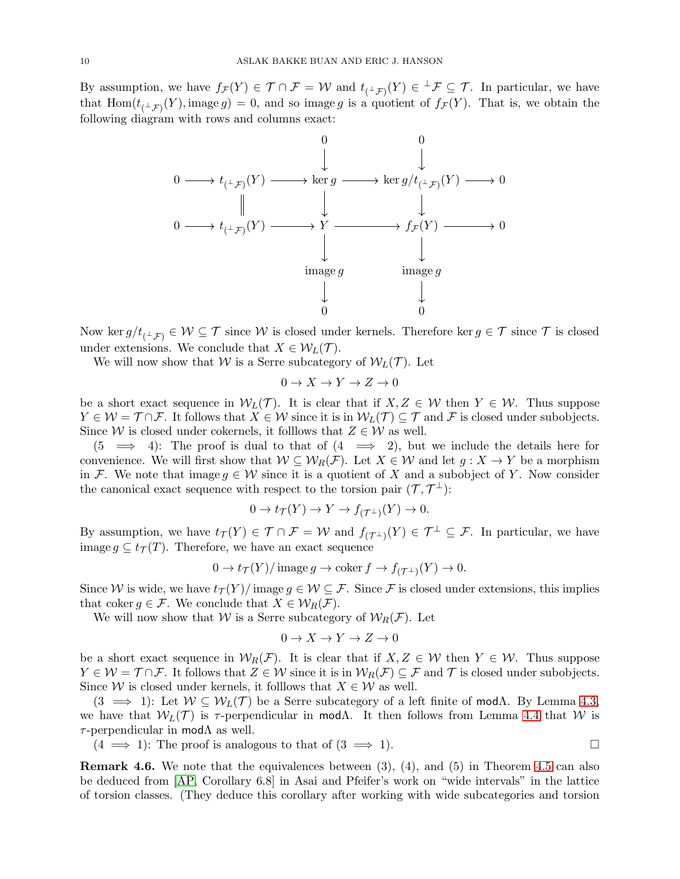By assumption, we have  $f_{\mathcal{F}}(Y) \in \mathcal{T} \cap \mathcal{F} = \mathcal{W}$  and  $t_{(\perp_{\mathcal{F}})}(Y) \in {}^{\perp}_{\mathcal{F}} \subseteq \mathcal{T}$ . In particular, we have that  $\text{Hom}(t_{(\perp,\mathcal{F})}(Y), \text{image } g) = 0$ , and so image g is a quotient of  $f_{\mathcal{F}}(Y)$ . That is, we obtain the following diagram with rows and columns exact:



Now ker  $g/t_{(-1)} \in \mathcal{W} \subseteq \mathcal{T}$  since  $\mathcal{W}$  is closed under kernels. Therefore ker  $g \in \mathcal{T}$  since  $\mathcal{T}$  is closed under extensions. We conclude that  $X \in \mathcal{W}_L(\mathcal{T})$ .

We will now show that W is a Serre subcategory of  $W_L(\mathcal{T})$ . Let

$$
0 \to X \to Y \to Z \to 0
$$

be a short exact sequence in  $W_L(\mathcal{T})$ . It is clear that if  $X, Z \in \mathcal{W}$  then  $Y \in \mathcal{W}$ . Thus suppose  $Y \in \mathcal{W} = \mathcal{T} \cap \mathcal{F}$ . It follows that  $X \in \mathcal{W}$  since it is in  $\mathcal{W}_L(\mathcal{T}) \subseteq \mathcal{T}$  and  $\mathcal{F}$  is closed under subobjects. Since W is closed under cokernels, it folllows that  $Z \in \mathcal{W}$  as well.

 $(5 \implies 4)$ : The proof is dual to that of  $(4 \implies 2)$ , but we include the details here for convenience. We will first show that  $W \subseteq W_R(F)$ . Let  $X \in W$  and let  $g: X \to Y$  be a morphism in F. We note that image  $g \in \mathcal{W}$  since it is a quotient of X and a subobject of Y. Now consider the canonical exact sequence with respect to the torsion pair  $(\mathcal{T}, \mathcal{T}^{\perp})$ :

$$
0 \to t_{\mathcal{T}}(Y) \to Y \to f_{(\mathcal{T}^{\perp})}(Y) \to 0.
$$

By assumption, we have  $t_{\mathcal{T}}(Y) \in \mathcal{T} \cap \mathcal{F} = \mathcal{W}$  and  $f_{(\mathcal{T}^{\perp})}(Y) \in \mathcal{T}^{\perp} \subseteq \mathcal{F}$ . In particular, we have image  $q \subseteq t_{\mathcal{T}}(T)$ . Therefore, we have an exact sequence

$$
0 \to t_{\mathcal{T}}(Y)/\operatorname{image} g \to \operatorname{coker} f \to f_{(\mathcal{T}^{\perp})}(Y) \to 0.
$$

Since W is wide, we have  $t_T(Y)/$  image  $g \in \mathcal{W} \subseteq \mathcal{F}$ . Since F is closed under extensions, this implies that coker  $g \in \mathcal{F}$ . We conclude that  $X \in \mathcal{W}_R(\mathcal{F})$ .

We will now show that W is a Serre subcategory of  $W_R(\mathcal{F})$ . Let

$$
0 \to X \to Y \to Z \to 0
$$

be a short exact sequence in  $W_R(\mathcal{F})$ . It is clear that if  $X, Z \in \mathcal{W}$  then  $Y \in \mathcal{W}$ . Thus suppose  $Y \in \mathcal{W} = \mathcal{T} \cap \mathcal{F}$ . It follows that  $Z \in \mathcal{W}$  since it is in  $\mathcal{W}_R(\mathcal{F}) \subseteq \mathcal{F}$  and  $\mathcal{T}$  is closed under subobjects. Since W is closed under kernels, it folllows that  $X \in \mathcal{W}$  as well.

 $(3 \implies 1)$ : Let  $W \subseteq W_L(\mathcal{T})$  be a Serre subcategory of a left finite of mod $\Lambda$ . By Lemma [4.3,](#page-7-2) we have that  $W_L(\mathcal{T})$  is  $\tau$ -perpendicular in mod $\Lambda$ . It then follows from Lemma [4.4](#page-8-1) that W is  $\tau$ -perpendicular in mod $\Lambda$  as well.

 $(4 \implies 1)$ : The proof is analogous to that of  $(3 \implies 1)$ .

Remark 4.6. We note that the equivalences between (3), (4), and (5) in Theorem [4.5](#page-8-0) can also be deduced from [\[AP,](#page-21-11) Corollary 6.8] in Asai and Pfeifer's work on "wide intervals" in the lattice of torsion classes. (They deduce this corollary after working with wide subcategories and torsion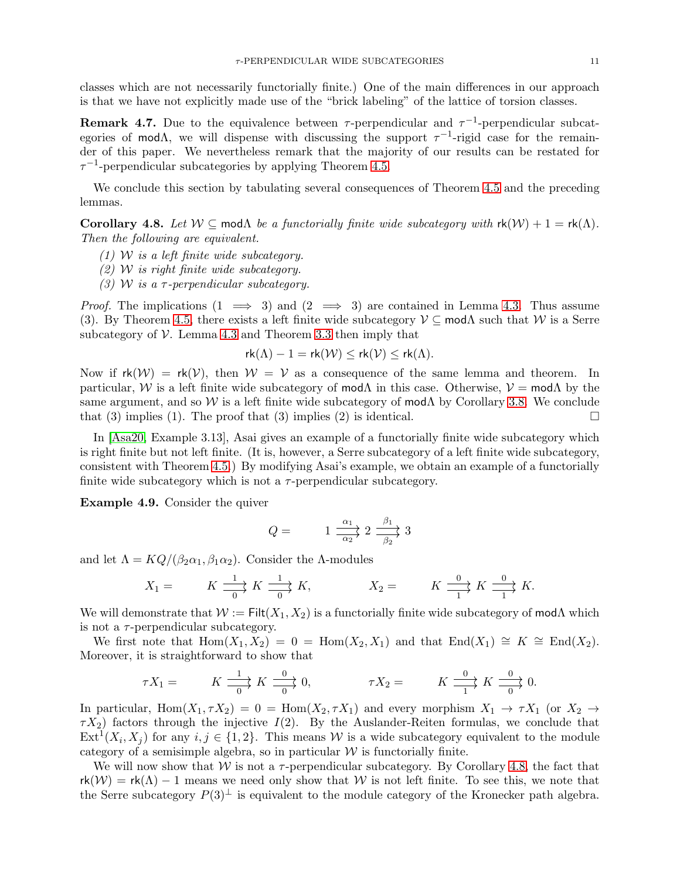classes which are not necessarily functorially finite.) One of the main differences in our approach is that we have not explicitly made use of the "brick labeling" of the lattice of torsion classes.

**Remark 4.7.** Due to the equivalence between  $\tau$ -perpendicular and  $\tau^{-1}$ -perpendicular subcategories of mod $\Lambda$ , we will dispense with discussing the support  $\tau^{-1}$ -rigid case for the remainder of this paper. We nevertheless remark that the majority of our results can be restated for  $\tau^{-1}$ -perpendicular subcategories by applying Theorem [4.5.](#page-8-0)

We conclude this section by tabulating several consequences of Theorem [4.5](#page-8-0) and the preceding lemmas.

<span id="page-10-1"></span>Corollary 4.8. Let  $W \subseteq \text{mod}\Lambda$  *be a functorially finite wide subcategory with*  $rk(W) + 1 = rk(\Lambda)$ . *Then the following are equivalent.*

- *(1)* W *is a left finite wide subcategory.*
- *(2)* W *is right finite wide subcategory.*
- *(3)* W *is a* τ *-perpendicular subcategory.*

*Proof.* The implications  $(1 \implies 3)$  and  $(2 \implies 3)$  are contained in Lemma [4.3.](#page-7-2) Thus assume (3). By Theorem [4.5,](#page-8-0) there exists a left finite wide subcategory  $\mathcal{V} \subseteq \text{mod}\Lambda$  such that W is a Serre subcategory of  $V$ . Lemma [4.3](#page-7-2) and Theorem [3.3](#page-5-1) then imply that

$$
rk(\Lambda) - 1 = rk(\mathcal{W}) \leq rk(\mathcal{V}) \leq rk(\Lambda).
$$

Now if  $rk(\mathcal{W}) = rk(\mathcal{V})$ , then  $\mathcal{W} = \mathcal{V}$  as a consequence of the same lemma and theorem. In particular, W is a left finite wide subcategory of mod $\Lambda$  in this case. Otherwise,  $\mathcal{V} = \text{mod}\Lambda$  by the same argument, and so W is a left finite wide subcategory of mod $\Lambda$  by Corollary [3.8.](#page-7-3) We conclude that (3) implies (1). The proof that (3) implies (2) is identical.

In [\[Asa20,](#page-21-20) Example 3.13], Asai gives an example of a functorially finite wide subcategory which is right finite but not left finite. (It is, however, a Serre subcategory of a left finite wide subcategory, consistent with Theorem [4.5.](#page-8-0)) By modifying Asai's example, we obtain an example of a functorially finite wide subcategory which is not a  $\tau$ -perpendicular subcategory.

<span id="page-10-0"></span>Example 4.9. Consider the quiver

$$
Q = \frac{1}{\alpha_2} \xrightarrow{\alpha_1} 2 \xrightarrow{\beta_1} 3
$$

and let  $\Lambda = KQ/(\beta_2\alpha_1, \beta_1\alpha_2)$ . Consider the  $\Lambda$ -modules

$$
X_1 = \qquad K \xrightarrow[0]{1} K \xrightarrow[0]{1} K, \qquad X_2 = \qquad K \xrightarrow[1]{0} K \xrightarrow[1]{0} K.
$$

We will demonstrate that  $W := \text{Filt}(X_1, X_2)$  is a functorially finite wide subcategory of mod $\Lambda$  which is not a  $\tau$ -perpendicular subcategory.

We first note that  $\text{Hom}(X_1, X_2) = 0 = \text{Hom}(X_2, X_1)$  and that  $\text{End}(X_1) \cong K \cong \text{End}(X_2)$ . Moreover, it is straightforward to show that

$$
\tau X_1 = \qquad K \xrightarrow[0]{1} K \xrightarrow[0]{0} 0, \qquad \qquad \tau X_2 = \qquad K \xrightarrow[1]{0} K \xrightarrow[0]{0} 0.
$$

In particular,  $\text{Hom}(X_1, \tau X_2) = 0 = \text{Hom}(X_2, \tau X_1)$  and every morphism  $X_1 \to \tau X_1$  (or  $X_2 \to$  $\tau X_2$ ) factors through the injective  $I(2)$ . By the Auslander-Reiten formulas, we conclude that  $\text{Ext}^1(X_i, X_j)$  for any  $i, j \in \{1, 2\}$ . This means W is a wide subcategory equivalent to the module category of a semisimple algebra, so in particular  $W$  is functorially finite.

We will now show that  $W$  is not a  $\tau$ -perpendicular subcategory. By Corollary [4.8,](#page-10-1) the fact that  $rk(\mathcal{W}) = rk(\Lambda) - 1$  means we need only show that W is not left finite. To see this, we note that the Serre subcategory  $P(3)^{\perp}$  is equivalent to the module category of the Kronecker path algebra.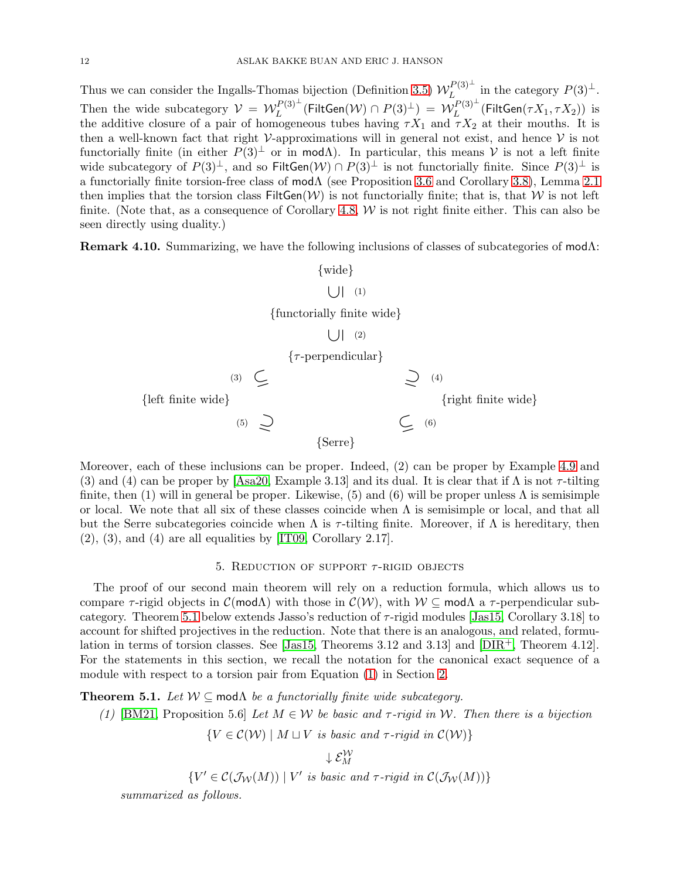Thus we can consider the Ingalls-Thomas bijection (Definition [3.5\)](#page-6-2)  $W_L^{P(3)^\perp}$  $L^{P(3)^{\perp}}$  in the category  $P(3)^{\perp}$ . Then the wide subcategory  $\mathcal{V} = \mathcal{W}_L^{P(3)^\perp}$  $L^{P(3)^\perp}(\mathsf{FiltGen}(\mathcal{W}) \cap P(3)^\perp) \,=\, \tilde{\mathcal{W}}_L^{P(3)^\perp}$  $L^{L^{(1)}(3)}$  (FiltGen $(\tau X_1, \tau X_2)$ ) is the additive closure of a pair of homogeneous tubes having  $\tau X_1$  and  $\tau X_2$  at their mouths. It is then a well-known fact that right  $\mathcal V$ -approximations will in general not exist, and hence  $\mathcal V$  is not functorially finite (in either  $P(3)^{\perp}$  or in modA). In particular, this means V is not a left finite wide subcategory of  $P(3)^{\perp}$ , and so FiltGen $(W) \cap P(3)^{\perp}$  is not functorially finite. Since  $P(3)^{\perp}$  is a functorially finite torsion-free class of modΛ (see Proposition [3.6](#page-6-1) and Corollary [3.8\)](#page-7-3), Lemma [2.1](#page-3-4) then implies that the torsion class  $\text{FiltGen}(\mathcal{W})$  is not functorially finite; that is, that W is not left finite. (Note that, as a consequence of Corollary [4.8,](#page-10-1)  $W$  is not right finite either. This can also be seen directly using duality.)

<span id="page-11-2"></span>Remark 4.10. Summarizing, we have the following inclusions of classes of subcategories of modΛ:



Moreover, each of these inclusions can be proper. Indeed, (2) can be proper by Example [4.9](#page-10-0) and (3) and (4) can be proper by [\[Asa20,](#page-21-20) Example 3.13] and its dual. It is clear that if  $\Lambda$  is not  $\tau$ -tilting finite, then (1) will in general be proper. Likewise, (5) and (6) will be proper unless  $\Lambda$  is semisimple or local. We note that all six of these classes coincide when  $\Lambda$  is semisimple or local, and that all but the Serre subcategories coincide when  $\Lambda$  is  $\tau$ -tilting finite. Moreover, if  $\Lambda$  is hereditary, then  $(2)$ ,  $(3)$ , and  $(4)$  are all equalities by [\[IT09,](#page-21-6) Corollary 2.17].

# 5. REDUCTION OF SUPPORT  $\tau$ -RIGID OBJECTS

<span id="page-11-0"></span>The proof of our second main theorem will rely on a reduction formula, which allows us to compare  $\tau$ -rigid objects in  $\mathcal{C}(\text{mod}\Lambda)$  with those in  $\mathcal{C}(\mathcal{W})$ , with  $\mathcal{W} \subseteq \text{mod}\Lambda$  a  $\tau$ -perpendicular sub-category. Theorem [5.1](#page-11-1) below extends Jasso's reduction of  $\tau$ -rigid modules [\[Jas15,](#page-21-9) Corollary 3.18] to account for shifted projectives in the reduction. Note that there is an analogous, and related, formu-lation in terms of torsion classes. See [\[Jas15,](#page-21-9) Theorems 3.12 and 3.13] and  $[DIR^+, Theorem 4.12]$ . For the statements in this section, we recall the notation for the canonical exact sequence of a module with respect to a torsion pair from Equation [\(1\)](#page-3-0) in Section [2.](#page-2-0)

<span id="page-11-1"></span>**Theorem 5.1.** *Let*  $W \subseteq \text{mod}\Lambda$  *be a functorially finite wide subcategory.* 

*(1)* [\[BM21,](#page-21-14) Proposition 5.6] *Let*  $M \in \mathcal{W}$  *be basic and*  $\tau$ -rigid in W. Then there is a bijection

 ${V \in C(\mathcal{W}) \mid M \sqcup V \text{ is basic and } \tau\text{-rigid in } C(\mathcal{W})}$ 

 $\downarrow$   $\mathcal{E}_M^{\mathcal{W}}$ 

$$
\{V' \in \mathcal{C}(\mathcal{J}_{\mathcal{W}}(M)) \mid V' \text{ is basic and } \tau\text{-rigid in } \mathcal{C}(\mathcal{J}_{\mathcal{W}}(M))\}
$$

*summarized as follows.*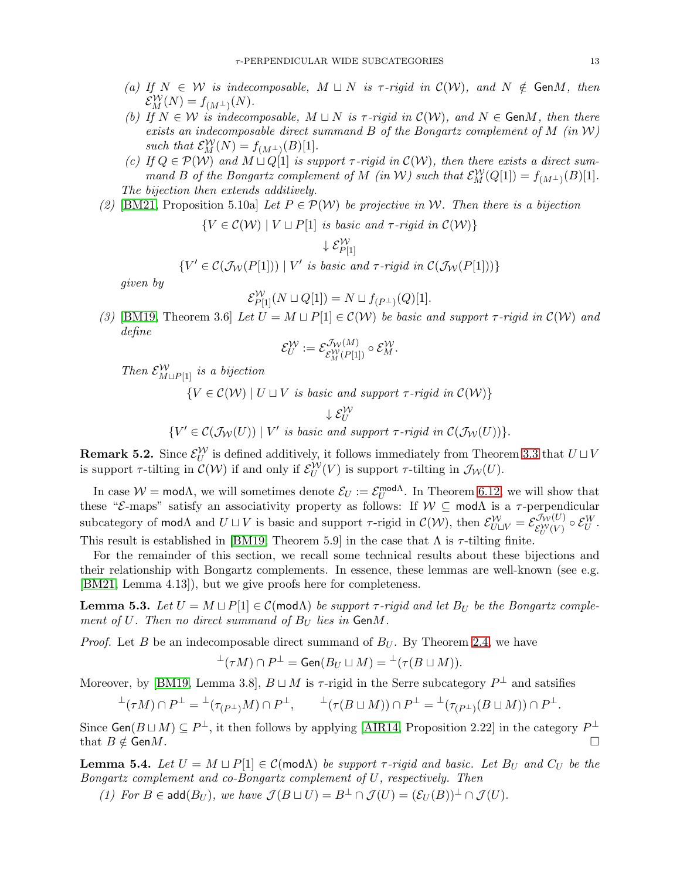- *(a)* If  $N \in \mathcal{W}$  *is indecomposable,*  $M \sqcup N$  *is*  $\tau$ -rigid *in*  $\mathcal{C}(\mathcal{W})$ *, and*  $N \notin \text{Gen } M$ *, then*  $\mathcal{E}_M^{\mathcal{W}}(N) = f_{(M^\perp)}(N).$
- *(b)* If  $N \in \mathcal{W}$  *is indecomposable,*  $M \sqcup N$  *is*  $\tau$ -rigid in  $\mathcal{C}(\mathcal{W})$ , and  $N \in \mathsf{Gen}M$ , then there *exists an indecomposable direct summand* B *of the Bongartz complement of* M *(in* W*)* such that  $\mathcal{E}_M^{\mathcal{W}}(N) = f_{(M^{\perp})}(B)[1]$ .
- *(c)* If  $Q \in \mathcal{P}(W)$  and  $M \sqcup Q[1]$  is support  $\tau$ -rigid in  $\mathcal{C}(W)$ , then there exists a direct sum*mand B* of the Bongartz complement of M (in W) such that  $\mathcal{E}_M^{\mathcal{W}}(Q[1]) = f_{(M^{\perp})}(B)[1]$ . *The bijection then extends additively.*
- (2) [\[BM21,](#page-21-14) Proposition 5.10a] *Let*  $P \in \mathcal{P}(\mathcal{W})$  *be projective in* W. Then there is a bijection

 ${V \in C(\mathcal{W}) \mid V \sqcup P[1] \text{ is basic and } \tau\text{-rigid in } C(\mathcal{W})}$ 

$$
\downarrow\mathcal{E}_{P[1]}^{\mathcal{W}}
$$

 ${V' \in C(\mathcal{J}_{\mathcal{W}}(P[1])) | V' \text{ is basic and } \tau\text{-rigid in } C(\mathcal{J}_{\mathcal{W}}(P[1]))\}$ 

*given by*

$$
\mathcal{E}_{P[1]}^{\mathcal{W}}(N \sqcup Q[1]) = N \sqcup f_{(P^{\perp})}(Q)[1].
$$

*(3)* [\[BM19,](#page-21-12) Theorem 3.6] *Let*  $U = M \sqcup P[1] \in \mathcal{C}(\mathcal{W})$  *be basic and support*  $\tau$ *-rigid in*  $\mathcal{C}(\mathcal{W})$  *and define*

$$
\mathcal{E}^{\mathcal{W}}_U:=\mathcal{E}^{\mathcal{J}_{\mathcal{W}}(M)}_{\mathcal{E}^{\mathcal{W}}_M(P[1])}\circ \mathcal{E}^{\mathcal{W}}_M.
$$

*Then*  $\mathcal{E}_{M \sqcup P[1]}^{W}$  *is a bijection* 

 ${V \in C(\mathcal{W}) \mid U \sqcup V \text{ is basic and support } \tau\text{-rigid in } C(\mathcal{W})}$ 

 $\downarrow \mathcal{E}_U^{\mathcal{W}}$ 

 ${V' \in C(\mathcal{J}_{\mathcal{W}}(U)) | V' \text{ is basic and support } \tau\text{-rigid in } C(\mathcal{J}_{\mathcal{W}}(U)) }$ .

<span id="page-12-1"></span>**Remark 5.2.** Since  $\mathcal{E}_U^{\mathcal{W}}$  is defined additively, it follows immediately from Theorem [3.3](#page-5-1) that  $U \sqcup V$ is support  $\tau$ -tilting in  $\mathcal{C}(\mathcal{W})$  if and only if  $\mathcal{E}_U^{\mathcal{W}}(V)$  is support  $\tau$ -tilting in  $\mathcal{J}_{\mathcal{W}}(U)$ .

In case  $W = \text{mod}\Lambda$ , we will sometimes denote  $\mathcal{E}_U := \mathcal{E}_U^{\text{mod}\Lambda}$ . In Theorem [6.12,](#page-17-1) we will show that these " $\mathcal{E}$ -maps" satisfy an associativity property as follows: If  $\mathcal{W} \subseteq \text{mod}\Lambda$  is a  $\tau$ -perpendicular subcategory of mod $\Lambda$  and  $U \sqcup V$  is basic and support  $\tau$ -rigid in  $\mathcal{C}(\mathcal{W})$ , then  $\mathcal{E}_{U \sqcup V}^{\mathcal{W}} = \mathcal{E}_{\mathcal{E}_{V}^{\mathcal{W}}(V)}^{\mathcal{J}_{\mathcal{W}}(U)}$  $\mathcal{E}^{\mathcal{W}}_U(V) \circ \mathcal{E}^W_U.$ This result is established in [\[BM19,](#page-21-12) Theorem 5.9] in the case that  $\Lambda$  is  $\tau$ -tilting finite.

For the remainder of this section, we recall some technical results about these bijections and their relationship with Bongartz complements. In essence, these lemmas are well-known (see e.g. [\[BM21,](#page-21-14) Lemma 4.13]), but we give proofs here for completeness.

<span id="page-12-0"></span>**Lemma 5.3.** Let  $U = M \sqcup P[1] \in \mathcal{C}(\text{mod}\Lambda)$  be support  $\tau$ -rigid and let  $B_U$  be the Bongartz comple*ment of U. Then no direct summand of*  $B_U$  *lies in* GenM.

*Proof.* Let B be an indecomposable direct summand of  $B_U$ . By Theorem [2.4,](#page-3-2) we have

$$
^{\perp}(\tau M)\cap P^{\perp}=\text{Gen}(B_U\sqcup M)={^{\perp}}(\tau(B\sqcup M)).
$$

Moreover, by [\[BM19,](#page-21-12) Lemma 3.8],  $B \sqcup M$  is  $\tau$ -rigid in the Serre subcategory  $P^{\perp}$  and satsifies

$$
\perp(\tau M)\cap P^{\perp}=\perp(\tau_{(P^{\perp})}M)\cap P^{\perp},\qquad \perp(\tau(B\sqcup M))\cap P^{\perp}=\perp(\tau_{(P^{\perp})}(B\sqcup M))\cap P^{\perp}.
$$

Since  $Gen(B \sqcup M) \subseteq P^{\perp}$ , it then follows by applying [\[AIR14,](#page-21-3) Proposition 2.22] in the category  $P^{\perp}$ that  $B \notin GenM$ .

**Lemma 5.4.** Let  $U = M \sqcup P[1] \in \mathcal{C}(\text{mod}\Lambda)$  be support  $\tau$ -rigid and basic. Let  $B_U$  and  $C_U$  be the *Bongartz complement and co-Bongartz complement of* U*, respectively. Then*

*(1) For*  $B \in \text{add}(B_U)$ *, we have*  $\mathcal{J}(B \sqcup U) = B^{\perp} \cap \mathcal{J}(U) = (\mathcal{E}_U(B))^{\perp} \cap \mathcal{J}(U)$ *.*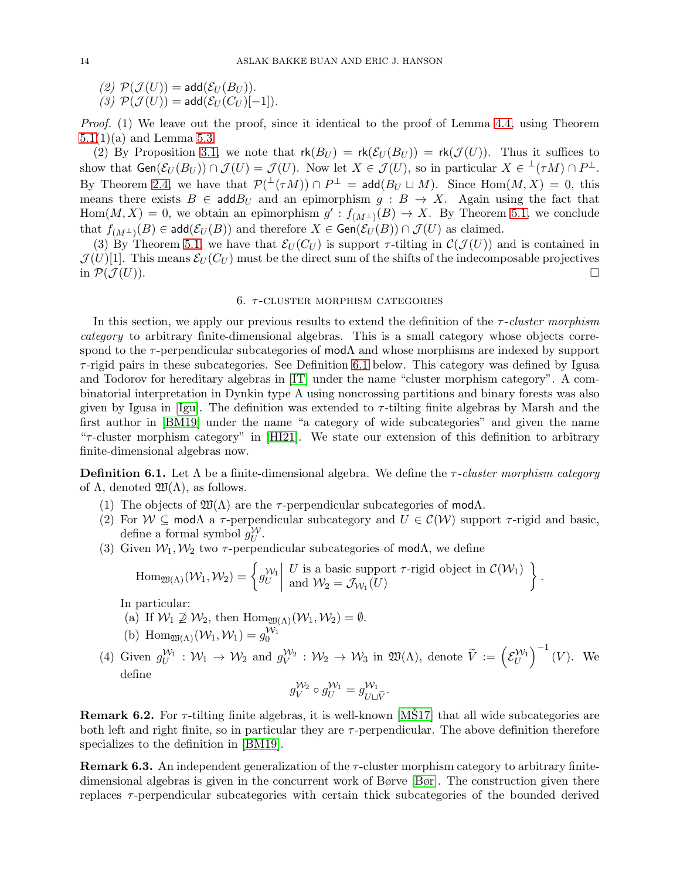(2)  $\mathcal{P}(\mathcal{J}(U)) = \text{add}(\mathcal{E}_U(B_U)).$ 

 $(3)$   $\mathcal{P}(\mathcal{J}(U)) = \text{add}(\mathcal{E}_{U}(C_{U})[-1]).$ 

*Proof.* (1) We leave out the proof, since it identical to the proof of Lemma [4.4,](#page-8-1) using Theorem  $5.1(1)(a)$  $5.1(1)(a)$  and Lemma [5.3.](#page-12-0)

(2) By Proposition [3.1,](#page-5-2) we note that  $\mathsf{rk}(B_U) = \mathsf{rk}(\mathcal{E}_U(B_U)) = \mathsf{rk}(\mathcal{J}(U)).$  Thus it suffices to show that  $Gen(\mathcal{E}_U(B_U)) \cap \mathcal{J}(U) = \mathcal{J}(U)$ . Now let  $X \in \mathcal{J}(U)$ , so in particular  $X \in {}^{\perp}(\tau M) \cap P^{\perp}$ . By Theorem [2.4,](#page-3-2) we have that  $\mathcal{P}(\perp(\tau M)) \cap P^{\perp} = \mathsf{add}(B_U \sqcup M)$ . Since  $\text{Hom}(M, X) = 0$ , this means there exists  $B \in \text{add} B_U$  and an epimorphism  $g : B \to X$ . Again using the fact that  $Hom(M, X) = 0$ , we obtain an epimorphism  $g' : f_{(M^{\perp})}(B) \to X$ . By Theorem [5.1,](#page-11-1) we conclude that  $f_{(M^{\perp})}(B) \in \mathsf{add}(\mathcal{E}_U(B))$  and therefore  $X \in \mathsf{Gen}(\mathcal{E}_U(B)) \cap \mathcal{J}(U)$  as claimed.

(3) By Theorem [5.1,](#page-11-1) we have that  $\mathcal{E}_U(C_U)$  is support  $\tau$ -tilting in  $\mathcal{C}(\mathcal{J}(U))$  and is contained in  $\mathcal{J}(U)[1]$ . This means  $\mathcal{E}_U(C_U)$  must be the direct sum of the shifts of the indecomposable projectives in  $\mathcal{P}(\mathcal{J}(U)).$ 

## 6.  $\tau$ -CLUSTER MORPHISM CATEGORIES

<span id="page-13-0"></span>In this section, we apply our previous results to extend the definition of the τ *-cluster morphism category* to arbitrary finite-dimensional algebras. This is a small category whose objects correspond to the  $\tau$ -perpendicular subcategories of mod $\Lambda$  and whose morphisms are indexed by support  $\tau$ -rigid pairs in these subcategories. See Definition [6.1](#page-13-1) below. This category was defined by Igusa and Todorov for hereditary algebras in [\[IT\]](#page-21-15) under the name "cluster morphism category". A combinatorial interpretation in Dynkin type A using noncrossing partitions and binary forests was also given by Igusa in [\[Igu\]](#page-21-24). The definition was extended to  $\tau$ -tilting finite algebras by Marsh and the first author in [\[BM19\]](#page-21-12) under the name "a category of wide subcategories" and given the name " $\tau$ -cluster morphism category" in [\[HI21\]](#page-21-13). We state our extension of this definition to arbitrary finite-dimensional algebras now.

<span id="page-13-1"></span>Definition 6.1. Let Λ be a finite-dimensional algebra. We define the τ *-cluster morphism category* of  $\Lambda$ , denoted  $\mathfrak{W}(\Lambda)$ , as follows.

- (1) The objects of  $\mathfrak{W}(\Lambda)$  are the  $\tau$ -perpendicular subcategories of mod $\Lambda$ .
- (2) For  $W \subseteq \text{mod}\Lambda$  a  $\tau$ -perpendicular subcategory and  $U \in \mathcal{C}(W)$  support  $\tau$ -rigid and basic, define a formal symbol  $g_U^{\mathcal{W}}$ .
- (3) Given  $W_1, W_2$  two  $\tau$ -perpendicular subcategories of mod $\Lambda$ , we define

$$
\operatorname{Hom}_{\mathfrak{W}(\Lambda)}(\mathcal{W}_1,\mathcal{W}_2)=\left\{g_U^{\mathcal{W}_1}\middle|\begin{array}{l}U\text{ is a basic support $\tau$-rigid object in }\mathcal{C}(\mathcal{W}_1)\\ \text{and }\mathcal{W}_2=\mathcal{J}_{\mathcal{W}_1}(U)\end{array}\right\}.
$$

In particular:

(a) If  $W_1 \not\supseteq W_2$ , then  $\text{Hom}_{\mathfrak{W}(\Lambda)}(\mathcal{W}_1,\mathcal{W}_2) = \emptyset$ .

(b) 
$$
\text{Hom}_{\mathfrak{W}(\Lambda)}(\mathcal{W}_1, \mathcal{W}_1) = g_0^{\mathcal{W}_1}
$$

(4) Given  $g_U^{W_1} : W_1 \to W_2$  and  $g_V^{W_2} : W_2 \to W_3$  in  $\mathfrak{W}(\Lambda)$ , denote  $\widetilde{V} := \left(\mathcal{E}_U^{W_1}\right)$  $\Big)^{-1}(V)$ . We define

$$
g_V^{\mathcal{W}_2} \circ g_U^{\mathcal{W}_1} = g_{U \sqcup \widetilde{V}}^{\mathcal{W}_1}.
$$

**Remark 6.2.** For  $\tau$ -tilting finite algebras, it is well-known [\[MS17\]](#page-21-7) that all wide subcategories are both left and right finite, so in particular they are  $\tau$ -perpendicular. The above definition therefore specializes to the definition in [\[BM19\]](#page-21-12).

**Remark 6.3.** An independent generalization of the  $\tau$ -cluster morphism category to arbitrary finitedimensional algebras is given in the concurrent work of Børve [\[Bør\]](#page-21-25). The construction given there replaces  $\tau$ -perpendicular subcategories with certain thick subcategories of the bounded derived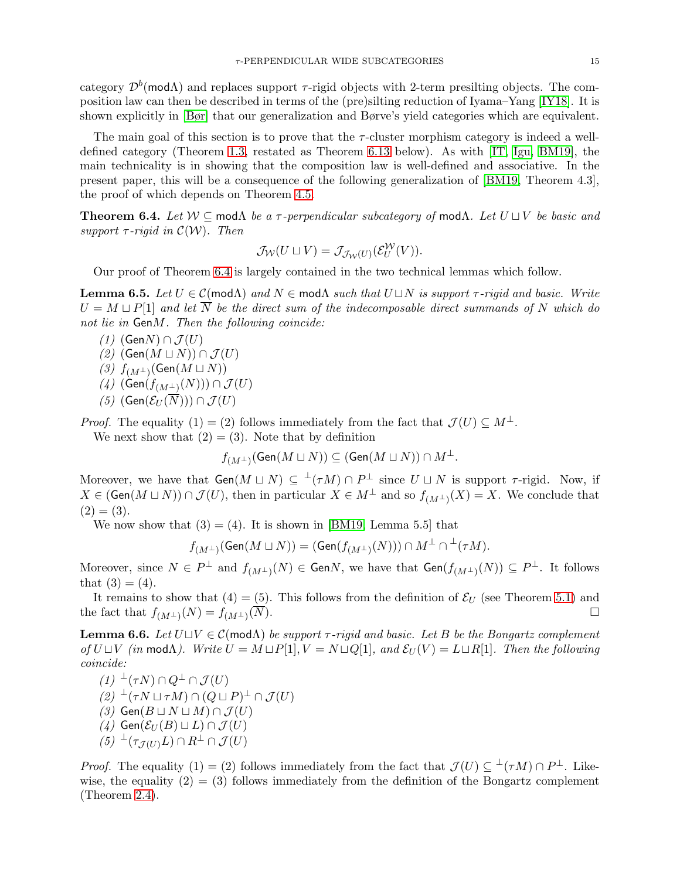category  $\mathcal{D}^b$ (modA) and replaces support  $\tau$ -rigid objects with 2-term presilting objects. The composition law can then be described in terms of the (pre)silting reduction of Iyama–Yang [\[IY18\]](#page-21-26). It is shown explicitly in [\[Bør\]](#page-21-25) that our generalization and Børve's yield categories which are equivalent.

The main goal of this section is to prove that the  $\tau$ -cluster morphism category is indeed a welldefined category (Theorem [1.3,](#page-1-1) restated as Theorem [6.13](#page-17-0) below). As with [\[IT,](#page-21-15) [Igu,](#page-21-24) [BM19\]](#page-21-12), the main technicality is in showing that the composition law is well-defined and associative. In the present paper, this will be a consequence of the following generalization of [\[BM19,](#page-21-12) Theorem 4.3], the proof of which depends on Theorem [4.5.](#page-8-0)

<span id="page-14-0"></span>Theorem 6.4. *Let* W ⊆ modΛ *be a* τ *-perpendicular subcategory of* modΛ*. Let* U ⊔ V *be basic and support*  $\tau$ *-rigid in*  $\mathcal{C}(\mathcal{W})$ *. Then* 

$$
\mathcal{J}_{\mathcal{W}}(U \sqcup V) = \mathcal{J}_{\mathcal{J}_{\mathcal{W}}(U)}(\mathcal{E}_U^{\mathcal{W}}(V)).
$$

Our proof of Theorem [6.4](#page-14-0) is largely contained in the two technical lemmas which follow.

<span id="page-14-1"></span>**Lemma 6.5.** Let  $U \in \mathcal{C}(\text{mod }\Lambda)$  and  $N \in \text{mod }\Lambda$  *such that*  $U \sqcup N$  *is support*  $\tau$ -rigid and basic. Write  $U = M \sqcup P[1]$  and let  $\overline{N}$  be the direct sum of the indecomposable direct summands of N which do *not lie in* GenM*. Then the following coincide:*

- *(1)* (Gen*N*) ∩  $J(U)$
- *(2)* (Gen( $M$   $\sqcup$   $N$ )) ∩  $\mathcal{J}(U)$
- $(3)$   $f$ <sub>(*M*</sub>⊥)</sub>(Gen(*M* ⊔ *N*))
- $(4)$  (Gen $(f_{(M^{\perp})}(N))) \cap \mathcal{J}(U)$
- *(5)* (Gen( $\mathcal{E}_{U}(\overline{N}))$ ) ∩  $\mathcal{J}(U)$

*Proof.* The equality (1) = (2) follows immediately from the fact that  $\mathcal{J}(U) \subset M^{\perp}$ . We next show that  $(2) = (3)$ . Note that by definition

$$
f_{(M^\perp)}(\mathrm{Gen}(M \sqcup N)) \subseteq (\mathrm{Gen}(M \sqcup N)) \cap M^\perp.
$$

Moreover, we have that  $Gen(M \sqcup N) \subseteq \perp(\tau M) \cap P^{\perp}$  since  $U \sqcup N$  is support  $\tau$ -rigid. Now, if  $X \in (\text{Gen}(M \sqcup N)) \cap \mathcal{J}(U)$ , then in particular  $X \in M^{\perp}$  and so  $f_{(M^{\perp})}(X) = X$ . We conclude that  $(2) = (3).$ 

We now show that  $(3) = (4)$ . It is shown in [\[BM19,](#page-21-12) Lemma 5.5] that

$$
f_{(M^{\perp})}(\mathrm{Gen}(M \sqcup N)) = (\mathrm{Gen}(f_{(M^{\perp})}(N))) \cap M^{\perp} \cap {^{\perp}(\tau M)}.
$$

Moreover, since  $N \in P^{\perp}$  and  $f_{(M^{\perp})}(N) \in GenN$ , we have that  $Gen(f_{(M^{\perp})}(N)) \subseteq P^{\perp}$ . It follows that  $(3) = (4)$ .

It remains to show that  $(4) = (5)$ . This follows from the definition of  $\mathcal{E}_U$  (see Theorem [5.1\)](#page-11-1) and the fact that  $f_{(M^{\perp})}(N) = f_{(M^{\perp})}$  $(\overline{N}).$ 

<span id="page-14-2"></span>Lemma 6.6. *Let* U⊔V ∈ C(modΛ) *be support* τ *-rigid and basic. Let* B *be the Bongartz complement of*  $U \sqcup V$  *(in* mod $\Lambda$ *).* Write  $U = M \sqcup P[1]$ ,  $V = N \sqcup Q[1]$ *, and*  $\mathcal{E}_U(V) = L \sqcup R[1]$ *. Then the following coincide:*

- $(1)$ <sup> $\perp$ </sup> $(\tau N)$   $\cap$   $Q^{\perp}$   $\cap$   $\mathcal{J}(U)$
- $(2)$ <sup> $\perp$ </sup> $(\tau N \sqcup \tau M) \cap (Q \sqcup P)^{\perp} \cap \mathcal{J}(U)$
- *(3)* Gen $(B \sqcup N \sqcup M) \cap \mathcal{J}(U)$
- $(4)$  Gen( $\mathcal{E}_U(B) \sqcup L$ ) ∩  $\mathcal{J}(U)$
- $(5) \ {}^{\perp}(\tau_{\mathcal{J}(U)} L) \cap R^{\perp} \cap \mathcal{J}(U)$

*Proof.* The equality (1) = (2) follows immediately from the fact that  $\mathcal{J}(U) \subseteq {}^{\perp}(\tau M) \cap P^{\perp}$ . Likewise, the equality  $(2) = (3)$  follows immediately from the definition of the Bongartz complement (Theorem [2.4\)](#page-3-2).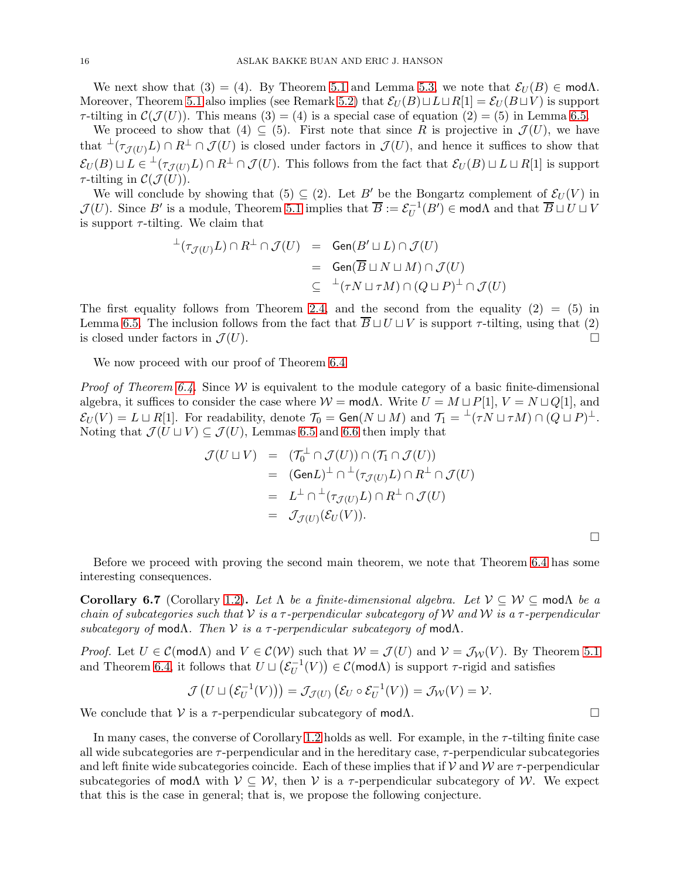We next show that (3) = (4). By Theorem [5.1](#page-11-1) and Lemma [5.3,](#page-12-0) we note that  $\mathcal{E}_U(B) \in \text{mod}\Lambda$ . Moreover, Theorem [5.1](#page-11-1) also implies (see Remark [5.2\)](#page-12-1) that  $\mathcal{E}_U(B) \sqcup L \sqcup R[1] = \mathcal{E}_U(B \sqcup V)$  is support  $\tau$ -tilting in  $\mathcal{C}(\mathcal{J}(U))$ . This means (3) = (4) is a special case of equation (2) = (5) in Lemma [6.5.](#page-14-1)

We proceed to show that (4)  $\subseteq$  (5). First note that since R is projective in  $\mathcal{J}(U)$ , we have that  $\perp(\tau_{\mathcal{J}(U)} L) \cap R^{\perp} \cap \mathcal{J}(U)$  is closed under factors in  $\mathcal{J}(U)$ , and hence it suffices to show that  $\mathcal{E}_U(B) \sqcup L \in {}^{\perp}(\tau_{\mathcal{J}(U)}L) \cap R^{\perp} \cap \mathcal{J}(U)$ . This follows from the fact that  $\mathcal{E}_U(B) \sqcup L \sqcup R[1]$  is support  $\tau$ -tilting in  $\mathcal{C}(\mathcal{J}(U))$ .

We will conclude by showing that  $(5) \subseteq (2)$ . Let B' be the Bongartz complement of  $\mathcal{E}_U(V)$  in  $\mathcal{J}(U)$ . Since B' is a module, Theorem [5.1](#page-11-1) implies that  $\overline{B} := \mathcal{E}_U^{-1}(B') \in \text{mod}\Lambda$  and that  $\overline{B} \sqcup U \sqcup V$ is support  $\tau$ -tilting. We claim that

$$
\begin{array}{rcl}\n^{\perp}(\tau_{\mathcal{J}(U)}L) \cap R^{\perp} \cap \mathcal{J}(U) & = & \mathsf{Gen}(B' \sqcup L) \cap \mathcal{J}(U) \\
 & = & \mathsf{Gen}(\overline{B} \sqcup N \sqcup M) \cap \mathcal{J}(U) \\
 & \subseteq & ^{\perp}(\tau N \sqcup \tau M) \cap (Q \sqcup P)^{\perp} \cap \mathcal{J}(U)\n\end{array}
$$

The first equality follows from Theorem [2.4,](#page-3-2) and the second from the equality  $(2) = (5)$  in Lemma [6.5.](#page-14-1) The inclusion follows from the fact that  $\overline{B} \sqcup U \sqcup V$  is support  $\tau$ -tilting, using that (2) is closed under factors in  $\mathcal{J}(U)$ .

We now proceed with our proof of Theorem [6.4](#page-14-0)

*Proof of Theorem [6.4.](#page-14-0)* Since W is equivalent to the module category of a basic finite-dimensional algebra, it suffices to consider the case where  $W = \text{mod}\Lambda$ . Write  $U = M \sqcup P[1], V = N \sqcup Q[1]$ , and  $\mathcal{E}_U(V) = L \sqcup R[1]$ . For readability, denote  $\mathcal{T}_0 = \text{Gen}(N \sqcup M)$  and  $\mathcal{T}_1 = {}^{\perp}(\tau N \sqcup \tau M) \cap (Q \sqcup P)^{\perp}$ . Noting that  $\mathcal{J}(U \sqcup V) \subseteq \mathcal{J}(U)$ , Lemmas [6.5](#page-14-1) and [6.6](#page-14-2) then imply that

$$
\mathcal{J}(U \sqcup V) = (\mathcal{T}_0^{\perp} \cap \mathcal{J}(U)) \cap (\mathcal{T}_1 \cap \mathcal{J}(U))
$$
  
\n
$$
= (\text{Gen}L)^{\perp} \cap {}^{\perp}(\tau_{\mathcal{J}(U)}L) \cap R^{\perp} \cap \mathcal{J}(U)
$$
  
\n
$$
= L^{\perp} \cap {}^{\perp}(\tau_{\mathcal{J}(U)}L) \cap R^{\perp} \cap \mathcal{J}(U)
$$
  
\n
$$
= \mathcal{J}_{\mathcal{J}(U)}(\mathcal{E}_U(V)).
$$

Before we proceed with proving the second main theorem, we note that Theorem [6.4](#page-14-0) has some interesting consequences.

<span id="page-15-0"></span>Corollary 6.7 (Corollary [1.2\)](#page-1-2). *Let*  $\Lambda$  *be a finite-dimensional algebra. Let*  $\mathcal{V} \subset \mathcal{W} \subset \text{mod} \Lambda$  *be a chain of subcategories such that* V *is a* τ *-perpendicular subcategory of* W *and* W *is a* τ *-perpendicular subcategory of* modΛ*. Then* V *is a* τ *-perpendicular subcategory of* modΛ*.*

*Proof.* Let  $U \in \mathcal{C}(\mathsf{mod}\Lambda)$  and  $V \in \mathcal{C}(\mathcal{W})$  such that  $\mathcal{W} = \mathcal{J}(U)$  and  $\mathcal{V} = \mathcal{J}_{\mathcal{W}}(V)$ . By Theorem [5.1](#page-11-1) and Theorem [6.4,](#page-14-0) it follows that  $U \sqcup (\mathcal{E}_U^{-1}(V)) \in \mathcal{C}(\text{mod}\Lambda)$  is support  $\tau$ -rigid and satisfies

$$
\mathcal{J}\left(U \sqcup \left(\mathcal{E}_U^{-1}(V)\right)\right) = \mathcal{J}_{\mathcal{J}(U)}\left(\mathcal{E}_U \circ \mathcal{E}_U^{-1}(V)\right) = \mathcal{J}_{\mathcal{W}}(V) = \mathcal{V}.
$$

We conclude that  $V$  is a  $\tau$ -perpendicular subcategory of mod $\Lambda$ .

In many cases, the converse of Corollary [1.2](#page-1-2) holds as well. For example, in the  $\tau$ -tilting finite case all wide subcategories are  $\tau$ -perpendicular and in the hereditary case,  $\tau$ -perpendicular subcategories and left finite wide subcategories coincide. Each of these implies that if  $V$  and  $W$  are  $\tau$ -perpendicular subcategories of mod $\Lambda$  with  $\mathcal{V} \subseteq \mathcal{W}$ , then  $\mathcal{V}$  is a  $\tau$ -perpendicular subcategory of W. We expect that this is the case in general; that is, we propose the following conjecture.

 $\Box$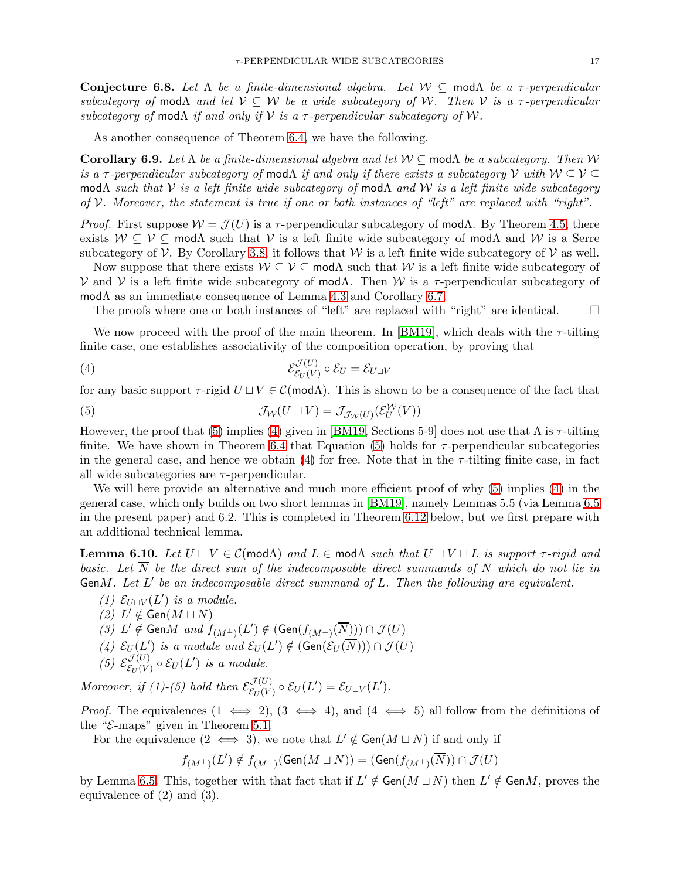Conjecture 6.8. *Let* Λ *be a finite-dimensional algebra. Let* W ⊆ modΛ *be a* τ *-perpendicular subcategory of* mod $\Lambda$  *and let*  $\mathcal{V} \subseteq \mathcal{W}$  *be a wide subcategory of* W. Then V *is a*  $\tau$ -perpendicular *subcategory of* mod $\Lambda$  *if and only if*  $V$  *is a*  $\tau$ -perpendicular subcategory of W.

As another consequence of Theorem [6.4,](#page-14-0) we have the following.

Corollary 6.9. *Let* Λ *be a finite-dimensional algebra and let* W ⊆ modΛ *be a subcategory. Then* W *is a*  $\tau$ -perpendicular subcategory of mod $\Lambda$  *if and only if there exists a subcategory*  $\mathcal V$  *with*  $\mathcal W \subseteq \mathcal V \subseteq$ modΛ *such that* V *is a left finite wide subcategory of* modΛ *and* W *is a left finite wide subcategory of* V*. Moreover, the statement is true if one or both instances of "left" are replaced with "right".*

*Proof.* First suppose  $W = \mathcal{J}(U)$  is a  $\tau$ -perpendicular subcategory of mod $\Lambda$ . By Theorem [4.5,](#page-8-0) there exists  $W \subseteq V \subseteq \text{mod}\Lambda$  such that V is a left finite wide subcategory of mod $\Lambda$  and W is a Serre subcategory of  $V$ . By Corollary [3.8,](#page-7-3) it follows that W is a left finite wide subcategory of V as well.

Now suppose that there exists  $W \subseteq V \subseteq \text{mod}\Lambda$  such that W is a left finite wide subcategory of  $V$  and V is a left finite wide subcategory of mod $Λ$ . Then W is a  $τ$ -perpendicular subcategory of modΛ as an immediate consequence of Lemma [4.3](#page-7-2) and Corollary [6.7.](#page-15-0)

<span id="page-16-1"></span>The proofs where one or both instances of "left" are replaced with "right" are identical.  $\Box$ 

We now proceed with the proof of the main theorem. In [\[BM19\]](#page-21-12), which deals with the  $\tau$ -tilting finite case, one establishes associativity of the composition operation, by proving that

$$
\mathcal{E}_{\mathcal{E}_U(V)}^{\mathcal{J}(U)} \circ \mathcal{E}_U = \mathcal{E}_{U \sqcup V}
$$

for any basic support  $\tau$ -rigid  $U \sqcup V \in \mathcal{C}(\mathsf{mod}\Lambda)$ . This is shown to be a consequence of the fact that

<span id="page-16-0"></span>(5) 
$$
\mathcal{J}_{\mathcal{W}}(U \sqcup V) = \mathcal{J}_{\mathcal{J}_{\mathcal{W}}(U)}(\mathcal{E}_U^{\mathcal{W}}(V))
$$

However, the proof that [\(5\)](#page-16-0) implies [\(4\)](#page-16-1) given in [\[BM19,](#page-21-12) Sections 5-9] does not use that  $\Lambda$  is  $\tau$ -tilting finite. We have shown in Theorem [6.4](#page-14-0) that Equation [\(5\)](#page-16-0) holds for  $\tau$ -perpendicular subcategories in the general case, and hence we obtain [\(4\)](#page-16-1) for free. Note that in the  $\tau$ -tilting finite case, in fact all wide subcategories are  $\tau$ -perpendicular.

We will here provide an alternative and much more efficient proof of why  $(5)$  implies  $(4)$  in the general case, which only builds on two short lemmas in [\[BM19\]](#page-21-12), namely Lemmas 5.5 (via Lemma [6.5](#page-14-1) in the present paper) and 6.2. This is completed in Theorem [6.12](#page-17-1) below, but we first prepare with an additional technical lemma.

<span id="page-16-2"></span>**Lemma 6.10.** Let  $U \sqcup V \in \mathcal{C}(\text{mod}\Lambda)$  and  $L \in \text{mod}\Lambda$  such that  $U \sqcup V \sqcup L$  is support  $\tau$ -rigid and *basic. Let*  $\overline{N}$  *be the direct sum of the indecomposable direct summands of* N *which do not lie in* GenM*. Let* L ′ *be an indecomposable direct summand of* L*. Then the following are equivalent.*

- $(1)$   $E<sub>U</sub>□<sub>V</sub>(L')$  *is a module.*
- $(2)$  *L'* ∉ Gen $(M ⊔ N)$
- *(3)*  $L' \notin \text{Gen}M$  and  $f_{(M^{\perp})}(L') \notin (\text{Gen}(f_{(M^{\perp})}(\overline{N}))) \cap \mathcal{J}(U)$
- (4)  $\mathcal{E}_U(L')$  is a module and  $\mathcal{E}_U(L') \notin (\text{Gen}(\mathcal{E}_U(\overline{N}))) \cap \mathcal{J}(U)$
- (5)  $\mathcal{E}^{\mathcal{J}(U)}_{\mathcal{E}_{U}(V)}$  $\mathcal{E}_U(V) \circ \mathcal{E}_U(L')$  is a module.

Moreover, if (1)-(5) hold then  $\mathcal{E}^{\mathcal{J}(U)}_{\mathcal{E}_{\mathcal{H}}(V)}$  $\mathcal{E}_U(V) \circ \mathcal{E}_U(L') = \mathcal{E}_{U \sqcup V}(L').$ 

*Proof.* The equivalences  $(1 \iff 2)$ ,  $(3 \iff 4)$ , and  $(4 \iff 5)$  all follow from the definitions of the " $\mathcal{E}\text{-maps}$ " given in Theorem [5.1.](#page-11-1)

For the equivalence  $(2 \iff 3)$ , we note that  $L' \notin \text{Gen}(M \sqcup N)$  if and only if

$$
f_{(M^\perp)}(L')\notin f_{(M^\perp)}(\mathrm{Gen}(M\sqcup N))=(\mathrm{Gen}(f_{(M^\perp)}(\overline{N}))\cap \mathcal{J}(U)
$$

by Lemma [6.5.](#page-14-1) This, together with that fact that if  $L' \notin Gen(M \sqcup N)$  then  $L' \notin GenM$ , proves the equivalence of (2) and (3).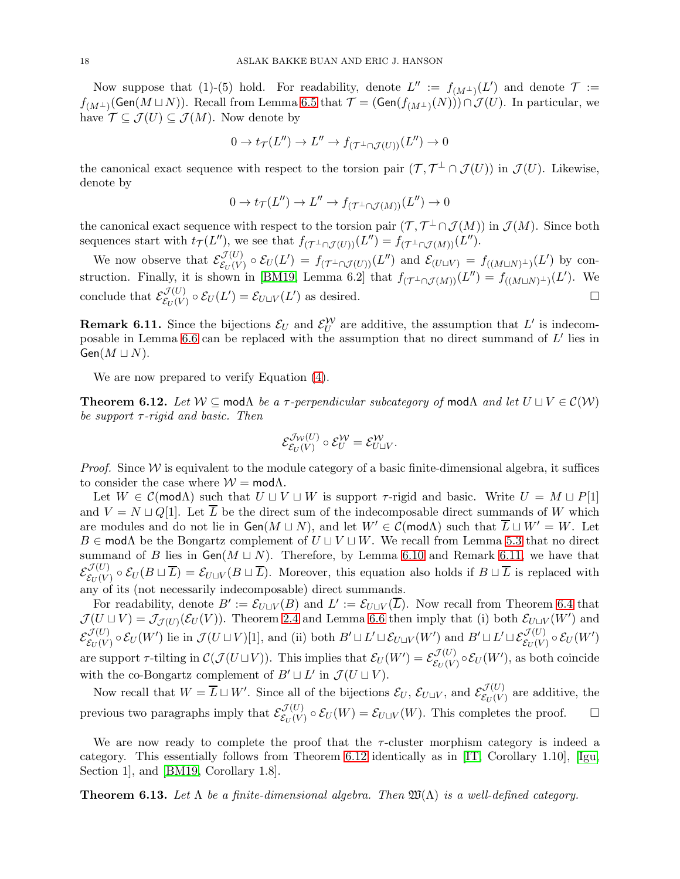Now suppose that (1)-(5) hold. For readability, denote  $L'' := f_{(M^{\perp})}(L')$  and denote  $\mathcal{T} :=$  $f_{(M^{\perp})}(\mathsf{Gen}(M \sqcup N))$ . Recall from Lemma [6.5](#page-14-1) that  $\mathcal{T} = (\mathsf{Gen}(f_{(M^{\perp})}(N))) \cap \mathcal{J}(U)$ . In particular, we have  $\mathcal{T} \subseteq \mathcal{J}(U) \subseteq \mathcal{J}(M)$ . Now denote by

$$
0 \to t_{\mathcal{T}}(L'') \to L'' \to f_{(\mathcal{T}^{\perp} \cap \mathcal{J}(U))}(L'') \to 0
$$

the canonical exact sequence with respect to the torsion pair  $(\mathcal{T}, \mathcal{T}^{\perp} \cap \mathcal{J}(U))$  in  $\mathcal{J}(U)$ . Likewise, denote by

$$
0 \to t_{\mathcal{T}}(L'') \to L'' \to f_{(\mathcal{T}^{\perp} \cap \mathcal{J}(M))}(L'') \to 0
$$

the canonical exact sequence with respect to the torsion pair  $(\mathcal{T}, \mathcal{T}^{\perp} \cap \mathcal{J}(M))$  in  $\mathcal{J}(M)$ . Since both sequences start with  $t_{\mathcal{T}}(L'')$ , we see that  $f_{(\mathcal{T}^{\perp} \cap \mathcal{J}(U))}(L'') = f_{(\mathcal{T}^{\perp} \cap \mathcal{J}(M))}(L'')$ .

We now observe that  $\mathcal{E}^{\mathcal{J}(U)}_{\mathcal{E}_{U}(V)}$  $\mathcal{E}_{U}(V) \circ \mathcal{E}_{U}(L') = f_{(\mathcal{T}^{\perp} \cap \mathcal{J}(U))}(L'')$  and  $\mathcal{E}_{(U \sqcup V)} = f_{((M \sqcup N)^{\perp})}(L')$  by con-struction. Finally, it is shown in [\[BM19,](#page-21-12) Lemma 6.2] that  $f_{(\mathcal{T}^{\perp} \cap \mathcal{J}(M))}(L'') = f_{((M \sqcup N)^{\perp})}(L')$ . We conclude that  $\mathcal{E}^{\mathcal{J}(U)}_{\mathcal{E}_{U}(V)}$  $\mathcal{E}_{U}(V) \circ \mathcal{E}_{U}(L') = \mathcal{E}_{U \sqcup V}(L')$  as desired.

<span id="page-17-2"></span>**Remark 6.11.** Since the bijections  $\mathcal{E}_U$  and  $\mathcal{E}_U^{\mathcal{W}}$  are additive, the assumption that  $L'$  is indecom-posable in Lemma [6.6](#page-14-2) can be replaced with the assumption that no direct summand of  $L'$  lies in  $Gen(M \sqcup N)$ .

We are now prepared to verify Equation [\(4\)](#page-16-1).

<span id="page-17-1"></span>**Theorem 6.12.** *Let*  $W \subseteq \text{mod}\Lambda$  *be a*  $\tau$ -perpendicular subcategory of mod $\Lambda$  *and let*  $U \sqcup V \in \mathcal{C}(W)$ *be support* τ *-rigid and basic. Then*

$$
\mathcal{E}^{\mathcal{J}_\mathcal{W}(U)}_{\mathcal{E}_U(V)} \circ \mathcal{E}_U^{\mathcal{W}} = \mathcal{E}_{U \sqcup V}^{\mathcal{W}}.
$$

*Proof.* Since  $W$  is equivalent to the module category of a basic finite-dimensional algebra, it suffices to consider the case where  $W = \text{mod}\Lambda$ .

Let  $W \in \mathcal{C}(\mathsf{mod}\Lambda)$  such that  $U \sqcup V \sqcup W$  is support  $\tau$ -rigid and basic. Write  $U = M \sqcup P[1]$ and  $V = N \sqcup Q[1]$ . Let  $\overline{L}$  be the direct sum of the indecomposable direct summands of W which are modules and do not lie in  $Gen(M \sqcup N)$ , and let  $W' \in \mathcal{C}(\mathsf{mod}\Lambda)$  such that  $\overline{L} \sqcup W' = W$ . Let  $B \in \text{mod}\Lambda$  be the Bongartz complement of  $U \sqcup V \sqcup W$ . We recall from Lemma [5.3](#page-12-0) that no direct summand of B lies in  $Gen(M \sqcup N)$ . Therefore, by Lemma [6.10](#page-16-2) and Remark [6.11,](#page-17-2) we have that  $\mathcal{E}^{\mathcal{J}(U)}_{\mathcal{E}_{\scriptscriptstyle II}(V)}$  $\mathcal{E}_{U}(V) \circ \mathcal{E}_{U}(B \sqcup L) = \mathcal{E}_{U \sqcup V}(B \sqcup L)$ . Moreover, this equation also holds if  $B \sqcup L$  is replaced with any of its (not necessarily indecomposable) direct summands.

For readability, denote  $B' := \mathcal{E}_{U \sqcup V}(B)$  and  $L' := \mathcal{E}_{U \sqcup V}(\overline{L})$ . Now recall from Theorem [6.4](#page-14-0) that  $\mathcal{J}(U \sqcup V) = \mathcal{J}_{\mathcal{J}(U)}(\mathcal{E}_U(V))$ . Theorem [2.4](#page-3-2) and Lemma [6.6](#page-14-2) then imply that (i) both  $\mathcal{E}_{U \sqcup V}(W')$  and  $\mathcal{E}^{\mathcal{J}(U)}_{\mathcal{E}_{\text{tr}}(V)}$  $\mathcal{E}_{\mathcal{E}_U(V)}^{(U)} \circ \mathcal{E}_U(W')$  lie in  $\mathcal{J}(U \sqcup V)[1]$ , and (ii) both  $B' \sqcup L' \sqcup \mathcal{E}_{U \sqcup V}(W')$  and  $B' \sqcup L' \sqcup \mathcal{E}_{\mathcal{E}_U(V)}^{(U)} \circ \mathcal{E}_U(W')$ are support  $\tau$ -tilting in  $\mathcal{C}(\mathcal{J}(U\sqcup V))$ . This implies that  $\mathcal{E}_U(W')=\mathcal{E}_{\mathcal{E}_U(V)}^{\mathcal{J}(U)}$  $\mathcal{E}_{U}(V) \circ \mathcal{E}_{U}(W'),$  as both coincide with the co-Bongartz complement of  $B' \sqcup L'$  in  $\mathcal{J}(U \sqcup V)$ .

Now recall that  $W = \overline{L} \sqcup W'$ . Since all of the bijections  $\mathcal{E}_U$ ,  $\mathcal{E}_{U \sqcup V}$ , and  $\mathcal{E}_{\mathcal{E}_{U}(V)}^{\mathcal{J}(U)}$  $\mathcal{E}_{U}(V)$  are additive, the previous two paragraphs imply that  $\mathcal{E}^{\mathcal{J}(U)}_{\mathcal{E}_{U}(V)}$  $\mathcal{E}_{U}(V) \circ \mathcal{E}_{U}(W) = \mathcal{E}_{U \sqcup V}(W)$ . This completes the proof.  $\Box$ 

We are now ready to complete the proof that the  $\tau$ -cluster morphism category is indeed a category. This essentially follows from Theorem [6.12](#page-17-1) identically as in [\[IT,](#page-21-15) Corollary 1.10], [\[Igu,](#page-21-24) Section 1, and [\[BM19,](#page-21-12) Corollary 1.8].

<span id="page-17-0"></span>**Theorem 6.13.** Let  $\Lambda$  be a finite-dimensional algebra. Then  $\mathfrak{W}(\Lambda)$  is a well-defined category.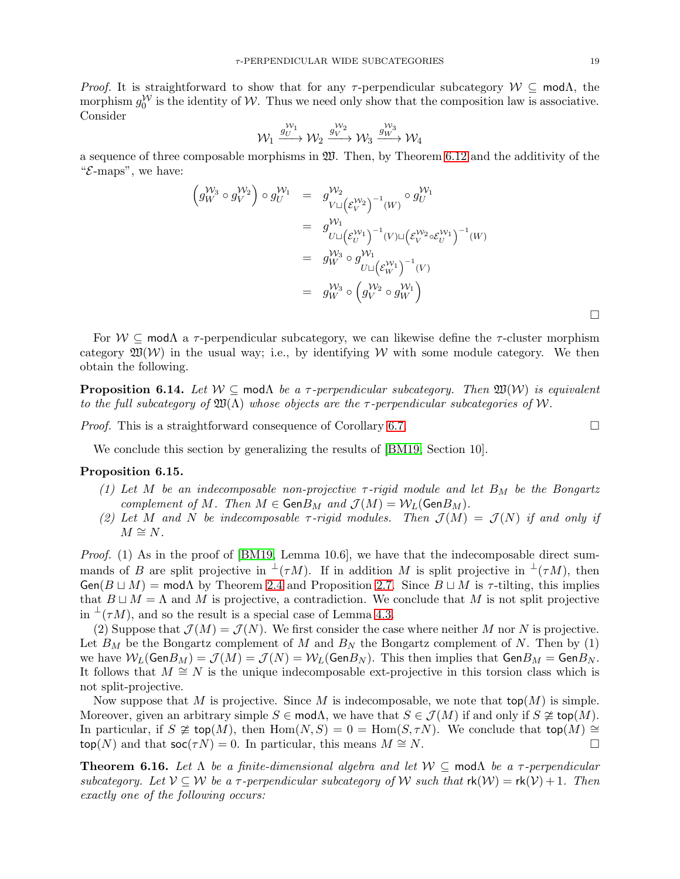*Proof.* It is straightforward to show that for any  $\tau$ -perpendicular subcategory  $W \subseteq \text{mod}\Lambda$ , the morphism  $g_0^{\mathcal{W}}$  is the identity of  $\mathcal{W}$ . Thus we need only show that the composition law is associative. Consider

$$
\mathcal{W}_1 \xrightarrow{g_U^{W_1}} \mathcal{W}_2 \xrightarrow{g_V^{W_2}} \mathcal{W}_3 \xrightarrow{g_W^{W_3}} \mathcal{W}_4
$$

a sequence of three composable morphisms in  $\mathfrak W$ . Then, by Theorem [6.12](#page-17-1) and the additivity of the " $\mathcal{E}\text{-maps}$ ", we have:

$$
\begin{array}{rcl}\n\left(g_{W}^{W_{3}} \circ g_{V}^{W_{2}}\right) \circ g_{U}^{W_{1}} & = & g_{V \sqcup \left(\mathcal{E}_{V}^{W_{2}}\right)^{-1}(W)}^{W_{2}} \circ g_{U}^{W_{1}} \\
& = & g_{U \sqcup \left(\mathcal{E}_{U}^{W_{1}}\right)^{-1}(V) \sqcup \left(\mathcal{E}_{V}^{W_{2}} \circ \mathcal{E}_{U}^{W_{1}}\right)^{-1}(W) \\
& = & g_{W}^{W_{3}} \circ g_{U \sqcup \left(\mathcal{E}_{W}^{W_{1}}\right)^{-1}(V)}^{W_{1}} \\
& = & g_{W}^{W_{3}} \circ \left(g_{V}^{W_{2}} \circ g_{W}^{W_{1}}\right) \\
\end{array}
$$

For  $W \subseteq \text{mod}\Lambda$  a  $\tau$ -perpendicular subcategory, we can likewise define the  $\tau$ -cluster morphism category  $\mathfrak{W}(W)$  in the usual way; i.e., by identifying W with some module category. We then obtain the following.

<span id="page-18-0"></span>**Proposition 6.14.** Let  $W \subseteq \text{mod }\Lambda$  be a  $\tau$ -perpendicular subcategory. Then  $\mathfrak{W}(W)$  is equivalent *to the full subcategory of*  $\mathfrak{W}(\Lambda)$  *whose objects are the*  $\tau$ -perpendicular subcategories of W.

*Proof.* This is a straightforward consequence of Corollary [6.7.](#page-15-0) □

We conclude this section by generalizing the results of [\[BM19,](#page-21-12) Section 10].

#### <span id="page-18-1"></span>Proposition 6.15.

- (1) Let M be an indecomposable non-projective  $\tau$ -rigid module and let  $B_M$  be the Bongartz *complement of*  $M$ *. Then*  $M \in \text{Gen}B_M$  *and*  $\mathcal{J}(M) = \mathcal{W}_L(\text{Gen}B_M)$ *.*
- (2) Let M and N be indecomposable  $\tau$ -rigid modules. Then  $\mathcal{J}(M) = \mathcal{J}(N)$  if and only if  $M \cong N$ .

*Proof.* (1) As in the proof of [\[BM19,](#page-21-12) Lemma 10.6], we have that the indecomposable direct summands of B are split projective in  $\perp(T)$ . If in addition M is split projective in  $\perp(T)$ , then Gen(B  $\sqcup M$ ) = mod $\Lambda$  by Theorem [2.4](#page-3-2) and Proposition [2.7.](#page-4-1) Since  $B \sqcup M$  is  $\tau$ -tilting, this implies that  $B \sqcup M = \Lambda$  and M is projective, a contradiction. We conclude that M is not split projective in  $\perp(\tau M)$ , and so the result is a special case of Lemma [4.3.](#page-7-2)

(2) Suppose that  $\mathcal{J}(M) = \mathcal{J}(N)$ . We first consider the case where neither M nor N is projective. Let  $B_M$  be the Bongartz complement of M and  $B_N$  the Bongartz complement of N. Then by (1) we have  $W_L(\text{Gen}B_M) = \mathcal{J}(M) = \mathcal{J}(N) = W_L(\text{Gen}B_N)$ . This then implies that  $\text{Gen}B_M = \text{Gen}B_N$ . It follows that  $M \cong N$  is the unique indecomposable ext-projective in this torsion class which is not split-projective.

Now suppose that M is projective. Since M is indecomposable, we note that  $top(M)$  is simple. Moreover, given an arbitrary simple  $S \in \text{mod}\Lambda$ , we have that  $S \in \mathcal{J}(M)$  if and only if  $S \ncong \text{top}(M)$ . In particular, if  $S \not\cong \text{top}(M)$ , then  $\text{Hom}(N, S) = 0 = \text{Hom}(S, \tau N)$ . We conclude that  $\text{top}(M) \cong$  $top(N)$  and that  $soc(τN) = 0$ . In particular, this means  $M \cong N$ .

Theorem 6.16. *Let* Λ *be a finite-dimensional algebra and let* W ⊆ modΛ *be a* τ *-perpendicular subcategory.* Let  $V \subseteq W$  *be a*  $\tau$ -perpendicular subcategory of W such that  $rk(W) = rk(V) + 1$ *. Then exactly one of the following occurs:*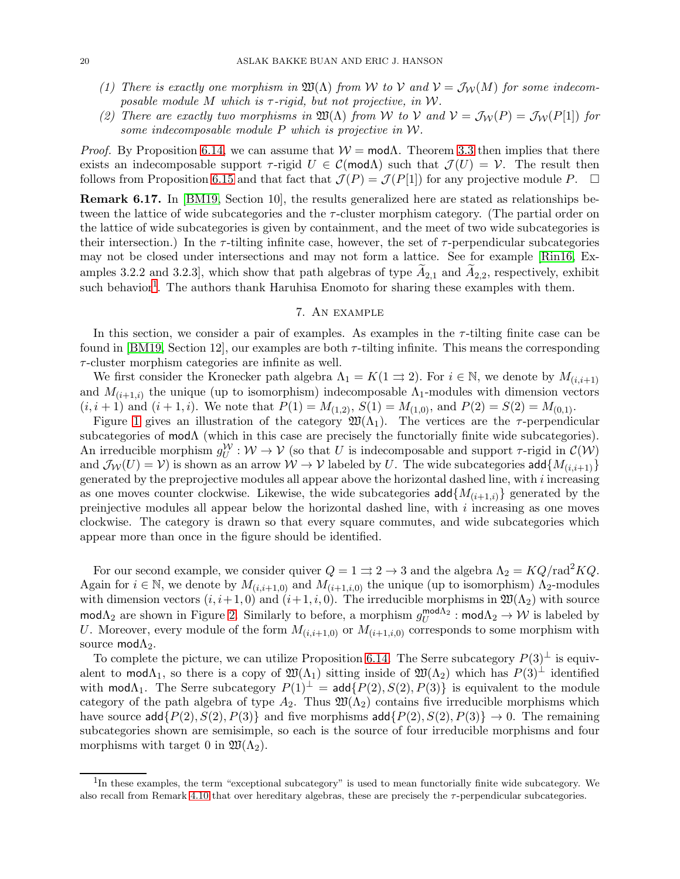- *(1) There is exactly one morphism in*  $\mathfrak{W}(\Lambda)$  *from* W to V and  $V = \mathcal{J}_W(M)$  *for some indecomposable module* M *which is* τ *-rigid, but not projective, in* W*.*
- *(2)* There are exactly two morphisms in  $\mathfrak{W}(\Lambda)$  from W to V and  $V = \mathcal{J}_W(P) = \mathcal{J}_W(P[1])$  for *some indecomposable module* P *which is projective in* W*.*

*Proof.* By Proposition [6.14,](#page-18-0) we can assume that  $W = \text{mod}\Lambda$ . Theorem [3.3](#page-5-1) then implies that there exists an indecomposable support  $\tau$ -rigid  $U \in \mathcal{C}(\mathsf{mod}\Lambda)$  such that  $\mathcal{J}(U) = \mathcal{V}$ . The result then follows from Proposition [6.15](#page-18-1) and that fact that  $\mathcal{J}(P) = \mathcal{J}(P[1])$  for any projective module P.  $\Box$ 

<span id="page-19-1"></span>Remark 6.17. In [\[BM19,](#page-21-12) Section 10], the results generalized here are stated as relationships between the lattice of wide subcategories and the  $\tau$ -cluster morphism category. (The partial order on the lattice of wide subcategories is given by containment, and the meet of two wide subcategories is their intersection.) In the  $\tau$ -tilting infinite case, however, the set of  $\tau$ -perpendicular subcategories may not be closed under intersections and may not form a lattice. See for example [\[Rin16,](#page-21-8) Examples 3.2.2 and 3.2.3], which show that path algebras of type  $A_{2,1}$  and  $A_{2,2}$ , respectively, exhibit such behavior<sup>[1](#page-19-2)</sup>. The authors thank Haruhisa Enomoto for sharing these examples with them.

# 7. An example

<span id="page-19-0"></span>In this section, we consider a pair of examples. As examples in the  $\tau$ -tilting finite case can be found in [\[BM19,](#page-21-12) Section 12], our examples are both  $\tau$ -tilting infinite. This means the corresponding  $\tau$ -cluster morphism categories are infinite as well.

We first consider the Kronecker path algebra  $\Lambda_1 = K(1 \Rightarrow 2)$ . For  $i \in \mathbb{N}$ , we denote by  $M_{(i,i+1)}$ and  $M_{(i+1,i)}$  the unique (up to isomorphism) indecomposable  $\Lambda_1$ -modules with dimension vectors  $(i, i + 1)$  and  $(i + 1, i)$ . We note that  $P(1) = M_{(1,2)}$ ,  $S(1) = M_{(1,0)}$ , and  $P(2) = S(2) = M_{(0,1)}$ .

Figure [1](#page-20-0) gives an illustration of the category  $\mathfrak{W}(\Lambda_1)$ . The vertices are the  $\tau$ -perpendicular subcategories of modΛ (which in this case are precisely the functorially finite wide subcategories). An irreducible morphism  $g_U^{\mathcal{W}}: \mathcal{W} \to \mathcal{V}$  (so that U is indecomposable and support  $\tau$ -rigid in  $\mathcal{C}(\mathcal{W})$ ) and  $\mathcal{J}_W(U) = \mathcal{V}$  is shown as an arrow  $W \to \mathcal{V}$  labeled by U. The wide subcategories add $\{M_{(i,i+1)}\}$ generated by the preprojective modules all appear above the horizontal dashed line, with i increasing as one moves counter clockwise. Likewise, the wide subcategories  $add\{M_{(i+1,i)}\}$  generated by the preinjective modules all appear below the horizontal dashed line, with  $i$  increasing as one moves clockwise. The category is drawn so that every square commutes, and wide subcategories which appear more than once in the figure should be identified.

For our second example, we consider quiver  $Q = 1 \Rightarrow 2 \rightarrow 3$  and the algebra  $\Lambda_2 = KQ/r \text{ad}^2 KQ$ . Again for  $i \in \mathbb{N}$ , we denote by  $M_{(i,i+1,0)}$  and  $M_{(i+1,i,0)}$  the unique (up to isomorphism)  $\Lambda_2$ -modules with dimension vectors  $(i, i+1, 0)$  and  $(i+1, i, 0)$ . The irreducible morphisms in  $\mathfrak{W}(\Lambda_2)$  with source mod $\Lambda_2$  are shown in Figure [2.](#page-20-1) Similarly to before, a morphism  $g_U^{\text{mod}\Lambda_2}$  : mod $\Lambda_2 \to W$  is labeled by U. Moreover, every module of the form  $M_{(i,i+1,0)}$  or  $M_{(i+1,i,0)}$  corresponds to some morphism with source mod $\Lambda_2$ .

To complete the picture, we can utilize Proposition [6.14.](#page-18-0) The Serre subcategory  $P(3)^\perp$  is equivalent to mod $\Lambda_1$ , so there is a copy of  $\mathfrak{W}(\Lambda_1)$  sitting inside of  $\mathfrak{W}(\Lambda_2)$  which has  $P(3)^\perp$  identified with mod $\Lambda_1$ . The Serre subcategory  $P(1)^{\perp} = \text{add}\{P(2), S(2), P(3)\}\$ is equivalent to the module category of the path algebra of type  $A_2$ . Thus  $\mathfrak{W}(\Lambda_2)$  contains five irreducible morphisms which have source add $\{P(2), S(2), P(3)\}$  and five morphisms add $\{P(2), S(2), P(3)\} \rightarrow 0$ . The remaining subcategories shown are semisimple, so each is the source of four irreducible morphisms and four morphisms with target 0 in  $\mathfrak{W}(\Lambda_2)$ .

<span id="page-19-2"></span><sup>&</sup>lt;sup>1</sup>In these examples, the term "exceptional subcategory" is used to mean functorially finite wide subcategory. We also recall from Remark [4.10](#page-11-2) that over hereditary algebras, these are precisely the  $\tau$ -perpendicular subcategories.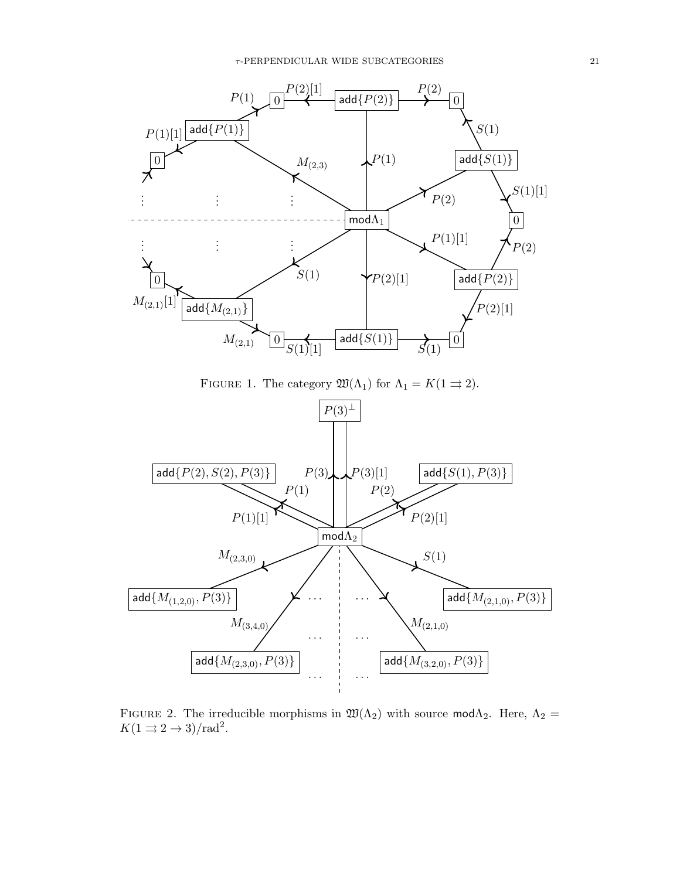

<span id="page-20-0"></span>FIGURE 1. The category  $\mathfrak{W}(\Lambda_1)$  for  $\Lambda_1 = K(1 \rightrightarrows 2)$ .



<span id="page-20-1"></span>FIGURE 2. The irreducible morphisms in  $\mathfrak{W}(\Lambda_2)$  with source mod $\Lambda_2$ . Here,  $\Lambda_2 =$  $K(1 \rightrightarrows 2 \rightarrow 3)/\text{rad}^2$ .